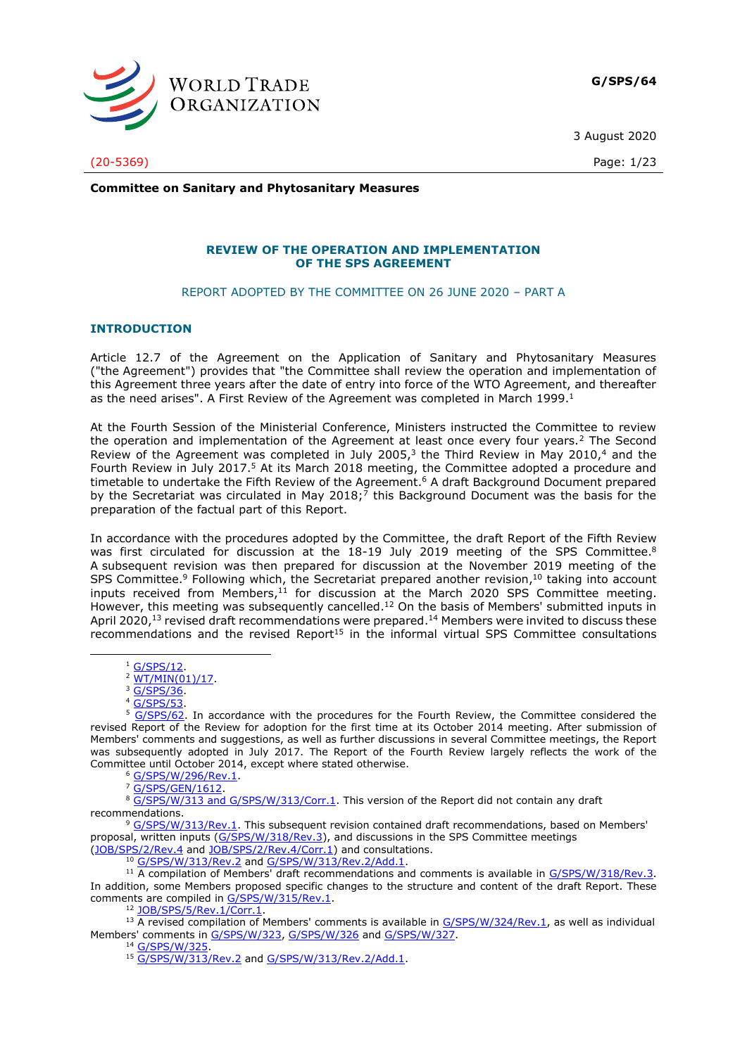

**G/SPS/64**

3 August 2020

(20-5369) Page: 1/23

**Committee on Sanitary and Phytosanitary Measures**

### **REVIEW OF THE OPERATION AND IMPLEMENTATION OF THE SPS AGREEMENT**

REPORT ADOPTED BY THE COMMITTEE ON 26 JUNE 2020 – PART A

### **INTRODUCTION**

Article 12.7 of the Agreement on the Application of Sanitary and Phytosanitary Measures ("the Agreement") provides that "the Committee shall review the operation and implementation of this Agreement three years after the date of entry into force of the WTO Agreement, and thereafter as the need arises". A First Review of the Agreement was completed in March 1999.<sup>1</sup>

At the Fourth Session of the Ministerial Conference, Ministers instructed the Committee to review the operation and implementation of the Agreement at least once every four years.<sup>2</sup> The Second Review of the Agreement was completed in July 2005,<sup>3</sup> the Third Review in May 2010,<sup>4</sup> and the Fourth Review in July 2017.<sup>5</sup> At its March 2018 meeting, the Committee adopted a procedure and timetable to undertake the Fifth Review of the Agreement.<sup>6</sup> A draft Background Document prepared by the Secretariat was circulated in May 2018;<sup>7</sup> this Background Document was the basis for the preparation of the factual part of this Report.

In accordance with the procedures adopted by the Committee, the draft Report of the Fifth Review was first circulated for discussion at the 18-19 July 2019 meeting of the SPS Committee.<sup>8</sup> A subsequent revision was then prepared for discussion at the November 2019 meeting of the SPS Committee.<sup>9</sup> Following which, the Secretariat prepared another revision,  $10$  taking into account inputs received from Members,<sup>11</sup> for discussion at the March 2020 SPS Committee meeting. However, this meeting was subsequently cancelled.<sup>12</sup> On the basis of Members' submitted inputs in April 2020,<sup>13</sup> revised draft recommendations were prepared.<sup>14</sup> Members were invited to discuss these recommendations and the revised Report $15$  in the informal virtual SPS Committee consultations

<sup>7</sup> [G/SPS/GEN/1612.](https://docs.wto.org/dol2fe/Pages/FE_Search/FE_S_S006.aspx?MetaCollection=WTO&SymbolList=%22G%2fSPS%2fGEN%2f1612%22+OR+%22G%2fSPS%2fGEN%2f1612%2f*%22&Serial=&IssuingDateFrom=&IssuingDateTo=&CATTITLE=&ConcernedCountryList=&OtherCountryList=&SubjectList=&TypeList=&FullTextHash=371857150&ProductList=&BodyList=&OrganizationList=&ArticleList=&Contents=&CollectionList=&RestrictionTypeName=&PostingDateFrom=&PostingDateTo=&DerestrictionDateFrom=&DerestrictionDateTo=&ReferenceList=&Language=ENGLISH&SearchPage=FE_S_S001&ActiveTabIndex=0&HSClassificationList=&ServicesClassificationList=&EnvironmentClassificationList=&ICSClassificationList=&ICSClassificationDescList:EnvironmentClassificationDescList:ServicesClassificationDescList:HSClassificationDescList=&languageUIChanged=true)

8 G/SPS/W/313 and G/SPS/W/313/Corr.1</u>. This version of the Report did not contain any draft recommendations.

<sup>9</sup> G/SPS/W/313/Rev.1</u>. This subsequent revision contained draft recommendations, based on Members' proposal, written inputs [\(G/SPS/W/318/Rev.3\)](https://docs.wto.org/dol2fe/Pages/FE_Search/FE_S_S006.aspx?DataSource=Cat&query=@Symbol=G/SPS/W/318/Rev.3*&Language=English&Context=ScriptedSearches&languageUIChanged=true), and discussions in the SPS Committee meetings

[\(JOB/SPS/2/Rev.4](https://docs.wto.org/dol2fe/Pages/FE_Search/FE_S_S006.aspx?DataSource=Cat&query=@Symbol=JOB/SPS/2/Rev.4*&Language=English&Context=ScriptedSearches&languageUIChanged=true) and [JOB/SPS/2/Rev.4/Corr.1\)](https://docs.wto.org/dol2fe/Pages/FE_Search/FE_S_S006.aspx?DataSource=Cat&query=@Symbol=%22JOB/SPS/2/Rev.4/Corr.1)%22%20OR%20@Symbol=%22JOB/SPS/2/Rev.4/Corr.1)/*%22&Language=English&Context=ScriptedSearches&languageUIChanged=true) and consultations. <sup>10</sup> [G/SPS/W/313/Rev.2](https://docs.wto.org/dol2fe/Pages/FE_Search/FE_S_S006.aspx?DataSource=Cat&query=@Symbol=%22G/SPS/W/313/Rev.2%22%20OR%20@Symbol=%22G/SPS/W/313/Rev.2/*%22&Language=English&Context=ScriptedSearches&languageUIChanged=true) an[d G/SPS/W/313/Rev.2/Add.1.](https://docs.wto.org/dol2fe/Pages/FE_Search/FE_S_S006.aspx?DataSource=Cat&query=@Symbol=%22G/SPS/W/313/Rev.2/Add.1%22%20OR%20@Symbol=%22G/SPS/W/313/Rev.2/Add.1/*%22&Language=English&Context=ScriptedSearches&languageUIChanged=true)

<sup>11</sup> A compilation of Members' draft recommendations and comments is available in [G/SPS/W/318/Rev.3.](https://docs.wto.org/dol2fe/Pages/FE_Search/FE_S_S006.aspx?DataSource=Cat&query=@Symbol=%22G/SPS/W/318/Rev.3%22%20OR%20@Symbol=%22G/SPS/W/318/Rev.3/*%22&Language=English&Context=ScriptedSearches&languageUIChanged=true) In addition, some Members proposed specific changes to the structure and content of the draft Report. These comments are compiled in [G/SPS/W/315/Rev.1.](https://docs.wto.org/dol2fe/Pages/FE_Search/FE_S_S006.aspx?DataSource=Cat&query=@Symbol=%22G/SPS/W/315/Rev.1%22%20OR%20@Symbol=%22G/SPS/W/315/Rev.1/*%22&Language=English&Context=ScriptedSearches&languageUIChanged=true)

<sup>12</sup> [JOB/SPS/5/Rev.1/Corr.1.](https://docs.wto.org/dol2fe/Pages/FE_Search/FE_S_S006.aspx?DataSource=Cat&query=@Symbol=%22JOB/SPS/5/Rev.1/Corr.1%22%20OR%20@Symbol=%22JOB/SPS/5/Rev.1/Corr.1/*%22&Language=English&Context=ScriptedSearches&languageUIChanged=true)

<sup>14</sup> [G/SPS/W/325.](https://docs.wto.org/dol2fe/Pages/FE_Search/FE_S_S006.aspx?DataSource=Cat&query=@Symbol=%22G/SPS/W/325%22%20OR%20@Symbol=%22G/SPS/W/325/*%22&Language=English&Context=ScriptedSearches&languageUIChanged=true)

<sup>&</sup>lt;sup>1</sup> [G/SPS/12.](https://docs.wto.org/dol2fe/Pages/FE_Search/FE_S_S006.aspx?DataSource=Cat&query=@Symbol=%22G/SPS/12%22%20OR%20@Symbol=%22G/SPS/12/*%22&Language=English&Context=ScriptedSearches&languageUIChanged=true)

 $2 \frac{\text{WT}/\text{MIN}(01)/17}{\text{WT}/\text{MIN}(01)/17}.$ <sup>3</sup> [G/SPS/36.](https://docs.wto.org/dol2fe/Pages/FE_Search/FE_S_S006.aspx?DataSource=Cat&query=@Symbol=%22G/SPS/36%22%20OR%20@Symbol=%22G/SPS/36/*%22&Language=English&Context=ScriptedSearches&languageUIChanged=true)

<sup>4</sup> [G/SPS/53.](https://docs.wto.org/dol2fe/Pages/FE_Search/FE_S_S006.aspx?DataSource=Cat&query=@Symbol=%22G/SPS/53%22%20OR%20@Symbol=%22G/SPS/53/*%22&Language=English&Context=ScriptedSearches&languageUIChanged=true)

<sup>5</sup> [G/SPS/62.](https://docs.wto.org/dol2fe/Pages/FE_Search/FE_S_S006.aspx?DataSource=Cat&query=@Symbol=%22G/SPS/62%22%20OR%20@Symbol=%22G/SPS/62/*%22&Language=English&Context=ScriptedSearches&languageUIChanged=true) In accordance with the procedures for the Fourth Review, the Committee considered the revised Report of the Review for adoption for the first time at its October 2014 meeting. After submission of Members' comments and suggestions, as well as further discussions in several Committee meetings, the Report was subsequently adopted in July 2017. The Report of the Fourth Review largely reflects the work of the Committee until October 2014, except where stated otherwise.

<sup>6</sup> [G/SPS/W/296/Rev.1.](https://docs.wto.org/dol2fe/Pages/FE_Search/FE_S_S006.aspx?DataSource=Cat&query=@Symbol=%22G/SPS/W/296/Rev.1.%22%20OR%20@Symbol=%22G/SPS/W/296/Rev.1./*%22&Language=English&Context=ScriptedSearches&languageUIChanged=true)

 $13$  A revised compilation of Members' comments is available in  $G/SPS/W/324/Rev.1$ , as well as individual Members' comments in [G/SPS/W/323,](https://docs.wto.org/dol2fe/Pages/FE_Search/FE_S_S006.aspx?DataSource=Cat&query=@Symbol=%22G/SPS/W/323%22%20OR%20@Symbol=%22G/SPS/W/323/*%22&Language=English&Context=ScriptedSearches&languageUIChanged=true) [G/SPS/W/326](https://docs.wto.org/dol2fe/Pages/FE_Search/FE_S_S006.aspx?DataSource=Cat&query=@Symbol=%22G/SPS/W/326%22%20OR%20@Symbol=%22G/SPS/W/326/*%22&Language=English&Context=ScriptedSearches&languageUIChanged=true) and [G/SPS/W/327.](https://docs.wto.org/dol2fe/Pages/FE_Search/FE_S_S006.aspx?DataSource=Cat&query=@Symbol=%22G/SPS/W/327%22%20OR%20@Symbol=%22G/SPS/W/327/*%22&Language=English&Context=ScriptedSearches&languageUIChanged=true)

<sup>15</sup> [G/SPS/W/313/Rev.2](https://docs.wto.org/dol2fe/Pages/FE_Search/FE_S_S006.aspx?DataSource=Cat&query=@Symbol=%22G/SPS/W/313/Rev.2%22%20OR%20@Symbol=%22G/SPS/W/313/Rev.2/*%22&Language=English&Context=ScriptedSearches&languageUIChanged=true) an[d G/SPS/W/313/Rev.2/Add.1.](https://docs.wto.org/dol2fe/Pages/FE_Search/FE_S_S006.aspx?DataSource=Cat&query=@Symbol=%22G/SPS/W/313/Rev.2/Add.1%22%20OR%20@Symbol=%22G/SPS/W/313/Rev.2/Add.1/*%22&Language=English&Context=ScriptedSearches&languageUIChanged=true)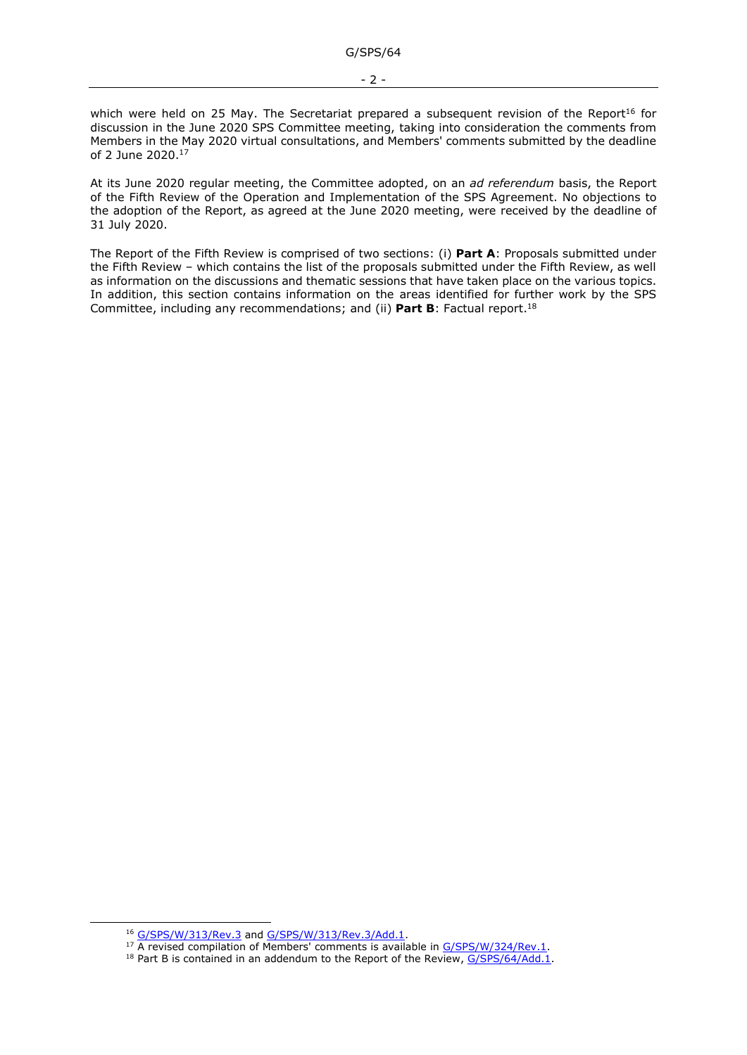which were held on 25 May. The Secretariat prepared a subsequent revision of the Report<sup>16</sup> for discussion in the June 2020 SPS Committee meeting, taking into consideration the comments from Members in the May 2020 virtual consultations, and Members' comments submitted by the deadline of 2 June 2020.<sup>17</sup>

At its June 2020 regular meeting, the Committee adopted, on an *ad referendum* basis, the Report of the Fifth Review of the Operation and Implementation of the SPS Agreement. No objections to the adoption of the Report, as agreed at the June 2020 meeting, were received by the deadline of 31 July 2020.

The Report of the Fifth Review is comprised of two sections: (i) **Part A**: Proposals submitted under the Fifth Review – which contains the list of the proposals submitted under the Fifth Review, as well as information on the discussions and thematic sessions that have taken place on the various topics. In addition, this section contains information on the areas identified for further work by the SPS Committee, including any recommendations; and (ii) **Part B**: Factual report. 18

<sup>16</sup> [G/SPS/W/313/Rev.3](https://docs.wto.org/dol2fe/Pages/FE_Search/FE_S_S006.aspx?MetaCollection=WTO&SymbolList=%22G%2fSPS%2fW%2f313%2fRev.3%22+OR+%22G%2fSPS%2fW%2f313%2fRev.3%2f*%22&Serial=&IssuingDateFrom=&IssuingDateTo=&CATTITLE=&ConcernedCountryList=&OtherCountryList=&SubjectList=&TypeList=&FullTextHash=371857150&ProductList=&BodyList=&OrganizationList=&ArticleList=&Contents=&CollectionList=&RestrictionTypeName=&PostingDateFrom=&PostingDateTo=&DerestrictionDateFrom=&DerestrictionDateTo=&ReferenceList=&Language=ENGLISH&SearchPage=FE_S_S001&ActiveTabIndex=0&HSClassificationList=&ServicesClassificationList=&EnvironmentClassificationList=&ICSClassificationList=&ICSClassificationDescList:EnvironmentClassificationDescList:ServicesClassificationDescList:HSClassificationDescList=&languageUIChanged=true) an[d G/SPS/W/313/Rev.3/Add.1.](https://docs.wto.org/dol2fe/Pages/FE_Search/FE_S_S006.aspx?MetaCollection=WTO&SymbolList=%22G%2fSPS%2fW%2f313%2fRev.3%22+OR+%22G%2fSPS%2fW%2f313%2fRev.3%2f*%22&Serial=&IssuingDateFrom=&IssuingDateTo=&CATTITLE=&ConcernedCountryList=&OtherCountryList=&SubjectList=&TypeList=&FullTextHash=371857150&ProductList=&BodyList=&OrganizationList=&ArticleList=&Contents=&CollectionList=&RestrictionTypeName=&PostingDateFrom=&PostingDateTo=&DerestrictionDateFrom=&DerestrictionDateTo=&ReferenceList=&Language=ENGLISH&SearchPage=FE_S_S001&ActiveTabIndex=0&HSClassificationList=&ServicesClassificationList=&EnvironmentClassificationList=&ICSClassificationList=&ICSClassificationDescList:EnvironmentClassificationDescList:ServicesClassificationDescList:HSClassificationDescList=&languageUIChanged=true)

<sup>&</sup>lt;sup>17</sup> A revised compilation of Members' comments is available in [G/SPS/W/324/Rev.1.](https://docs.wto.org/dol2fe/Pages/FE_Search/FE_S_S006.aspx?DataSource=Cat&query=@Symbol=%22G/SPS/W/324/Rev.1%22%20OR%20@Symbol=%22G/SPS/W/324/Rev.1/*%22&Language=English&Context=ScriptedSearches&languageUIChanged=true)

<sup>&</sup>lt;sup>18</sup> Part B is contained in an addendum to the Report of the Review[, G/SPS/64/Add.1.](https://docs.wto.org/dol2fe/Pages/FE_Search/FE_S_S006.aspx?DataSource=Cat&query=@Symbol=%22G/SPS/64/Add.1%22%20OR%20@Symbol=%22G/SPS/64/Add.1/*%22&Language=English&Context=ScriptedSearches&languageUIChanged=true)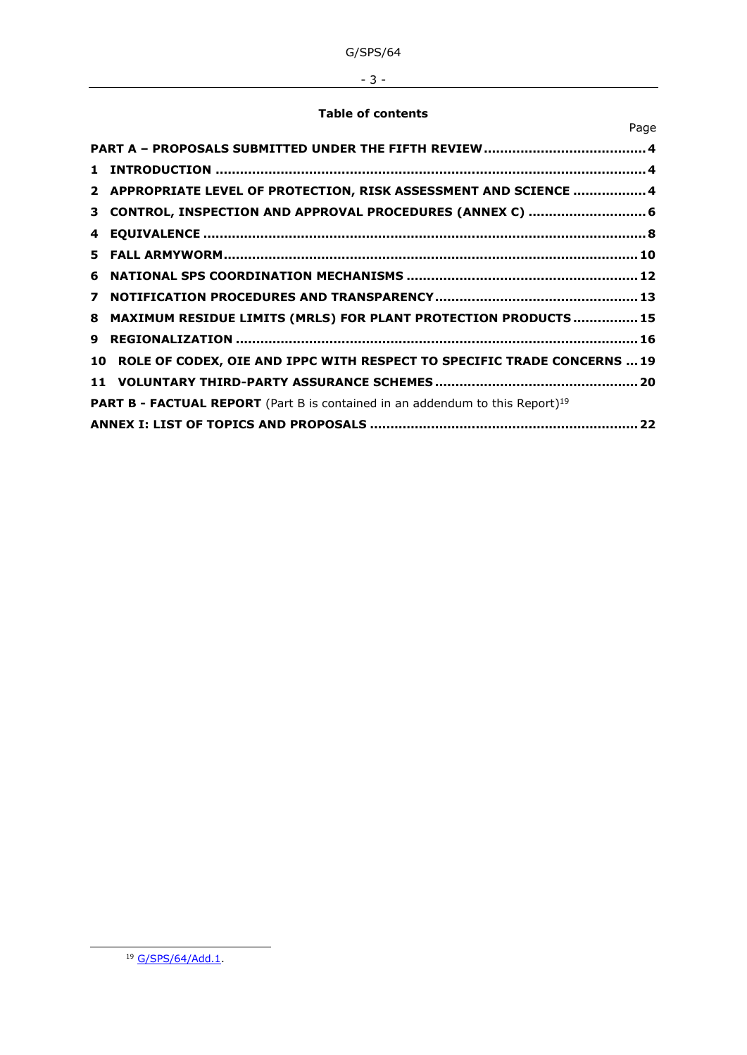# - 3 -

## **Table of contents**

|                                                                                           | Page                                                                       |  |  |  |
|-------------------------------------------------------------------------------------------|----------------------------------------------------------------------------|--|--|--|
|                                                                                           |                                                                            |  |  |  |
| 1.                                                                                        |                                                                            |  |  |  |
|                                                                                           | 2 APPROPRIATE LEVEL OF PROTECTION, RISK ASSESSMENT AND SCIENCE  4          |  |  |  |
|                                                                                           | 3 CONTROL, INSPECTION AND APPROVAL PROCEDURES (ANNEX C)  6                 |  |  |  |
| 4                                                                                         |                                                                            |  |  |  |
|                                                                                           |                                                                            |  |  |  |
| 6.                                                                                        |                                                                            |  |  |  |
| $\overline{ }$                                                                            |                                                                            |  |  |  |
| 8                                                                                         | MAXIMUM RESIDUE LIMITS (MRLS) FOR PLANT PROTECTION PRODUCTS  15            |  |  |  |
| 9                                                                                         |                                                                            |  |  |  |
|                                                                                           | 10 ROLE OF CODEX, OIE AND IPPC WITH RESPECT TO SPECIFIC TRADE CONCERNS  19 |  |  |  |
|                                                                                           |                                                                            |  |  |  |
| PART B - FACTUAL REPORT (Part B is contained in an addendum to this Report) <sup>19</sup> |                                                                            |  |  |  |
|                                                                                           |                                                                            |  |  |  |

<sup>&</sup>lt;sup>19</sup> [G/SPS/64/Add.1.](https://docs.wto.org/dol2fe/Pages/FE_Search/FE_S_S006.aspx?DataSource=Cat&query=@Symbol=%22G/SPS/64/Add.1%22%20OR%20@Symbol=%22G/SPS/64/Add.1/*%22&Language=English&Context=ScriptedSearches&languageUIChanged=true)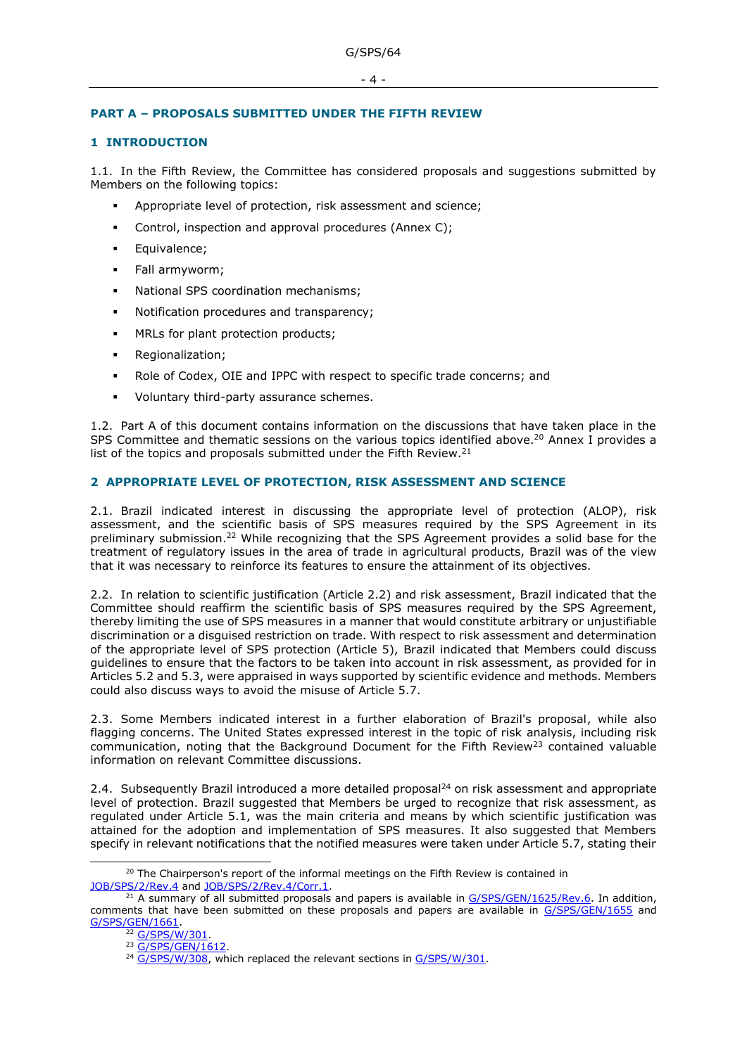# <span id="page-3-0"></span>**PART A – PROPOSALS SUBMITTED UNDER THE FIFTH REVIEW**

# <span id="page-3-1"></span>**1 INTRODUCTION**

1.1. In the Fifth Review, the Committee has considered proposals and suggestions submitted by Members on the following topics:

- Appropriate level of protection, risk assessment and science;
- Control, inspection and approval procedures (Annex C);
- Equivalence;
- Fall armyworm;
- National SPS coordination mechanisms;
- Notification procedures and transparency;
- MRLs for plant protection products;
- Regionalization;
- Role of Codex, OIE and IPPC with respect to specific trade concerns; and
- Voluntary third-party assurance schemes.

1.2. Part A of this document contains information on the discussions that have taken place in the SPS Committee and thematic sessions on the various topics identified above.<sup>20</sup> Annex I provides a list of the topics and proposals submitted under the Fifth Review.<sup>21</sup>

## <span id="page-3-2"></span>**2 APPROPRIATE LEVEL OF PROTECTION, RISK ASSESSMENT AND SCIENCE**

2.1. Brazil indicated interest in discussing the appropriate level of protection (ALOP), risk assessment, and the scientific basis of SPS measures required by the SPS Agreement in its preliminary submission.<sup>22</sup> While recognizing that the SPS Agreement provides a solid base for the treatment of regulatory issues in the area of trade in agricultural products, Brazil was of the view that it was necessary to reinforce its features to ensure the attainment of its objectives.

2.2. In relation to scientific justification (Article 2.2) and risk assessment, Brazil indicated that the Committee should reaffirm the scientific basis of SPS measures required by the SPS Agreement, thereby limiting the use of SPS measures in a manner that would constitute arbitrary or unjustifiable discrimination or a disguised restriction on trade. With respect to risk assessment and determination of the appropriate level of SPS protection (Article 5), Brazil indicated that Members could discuss guidelines to ensure that the factors to be taken into account in risk assessment, as provided for in Articles 5.2 and 5.3, were appraised in ways supported by scientific evidence and methods. Members could also discuss ways to avoid the misuse of Article 5.7.

2.3. Some Members indicated interest in a further elaboration of Brazil's proposal, while also flagging concerns. The United States expressed interest in the topic of risk analysis, including risk communication, noting that the Background Document for the Fifth Review<sup>23</sup> contained valuable information on relevant Committee discussions.

2.4. Subsequently Brazil introduced a more detailed proposal<sup>24</sup> on risk assessment and appropriate level of protection. Brazil suggested that Members be urged to recognize that risk assessment, as regulated under Article 5.1, was the main criteria and means by which scientific justification was attained for the adoption and implementation of SPS measures. It also suggested that Members specify in relevant notifications that the notified measures were taken under Article 5.7, stating their

<sup>&</sup>lt;sup>20</sup> The Chairperson's report of the informal meetings on the Fifth Review is contained in [JOB/SPS/2/Rev.4](https://docs.wto.org/dol2fe/Pages/FE_Search/FE_S_S006.aspx?DataSource=Cat&query=@Symbol=%22JOB/SPS/2/Rev.4%22%20OR%20@Symbol=%22JOB/SPS/2/Rev.4/*%22&Language=English&Context=ScriptedSearches&languageUIChanged=true) and [JOB/SPS/2/Rev.4/Corr.1.](https://docs.wto.org/dol2fe/Pages/FE_Search/FE_S_S006.aspx?DataSource=Cat&query=@Symbol=%22JOB/SPS/2/Rev.4/Corr.1%22%20OR%20@Symbol=%22JOB/SPS/2/Rev.4/Corr.1/*%22&Language=English&Context=ScriptedSearches&languageUIChanged=true)

 $^{21}$  A summary of all submitted proposals and papers is available in  $G/SPS/GEN/1625/Rev.6$ . In addition, comments that have been submitted on these proposals and papers are available in [G/SPS/GEN/1655](https://docs.wto.org/dol2fe/Pages/FE_Search/FE_S_S006.aspx?DataSource=Cat&query=@Symbol=%22G/SPS/GEN/1655%22%20OR%20@Symbol=%22G/SPS/GEN/1655/*%22&Language=English&Context=ScriptedSearches&languageUIChanged=true) and [G/SPS/GEN/1661.](https://docs.wto.org/dol2fe/Pages/FE_Search/FE_S_S006.aspx?DataSource=Cat&query=@Symbol=%22G/SPS/GEN/1661%22%20OR%20@Symbol=%22G/SPS/GEN/1661/*%22&Language=English&Context=ScriptedSearches&languageUIChanged=true)

<sup>&</sup>lt;sup>22</sup> G/SPS/W/301

<sup>&</sup>lt;sup>23</sup> [G/SPS/GEN/1612.](https://docs.wto.org/dol2fe/Pages/FE_Search/FE_S_S006.aspx?DataSource=Cat&query=@Symbol=%22G/SPS/GEN/1612%22%20OR%20@Symbol=%22G/SPS/GEN/1612/*%22&Language=English&Context=ScriptedSearches&languageUIChanged=true)

<sup>&</sup>lt;sup>24</sup> [G/SPS/W/308,](https://docs.wto.org/dol2fe/Pages/FE_Search/FE_S_S006.aspx?DataSource=Cat&query=@Symbol=%22G/SPS/W/308%22%20OR%20@Symbol=%22G/SPS/W/308/*%22&Language=English&Context=ScriptedSearches&languageUIChanged=true) which replaced the relevant sections in [G/SPS/W/301.](https://docs.wto.org/dol2fe/Pages/FE_Search/FE_S_S006.aspx?DataSource=Cat&query=@Symbol=%22G/SPS/W/301%22%20OR%20@Symbol=%22G/SPS/W/301/*%22&Language=English&Context=ScriptedSearches&languageUIChanged=true)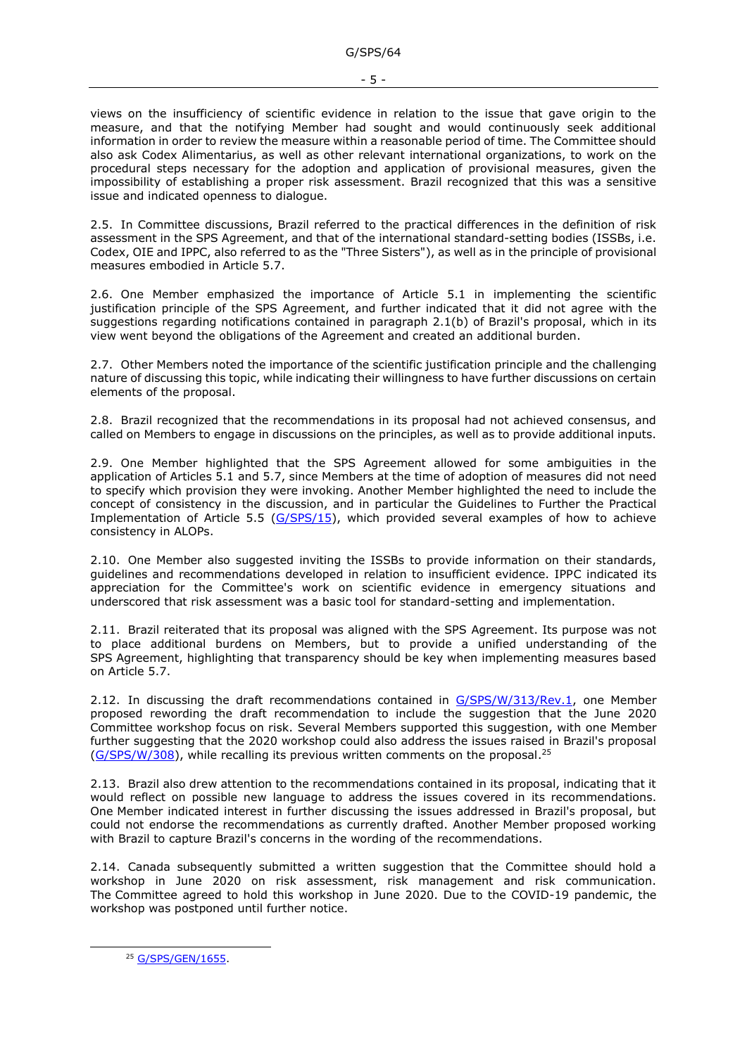views on the insufficiency of scientific evidence in relation to the issue that gave origin to the measure, and that the notifying Member had sought and would continuously seek additional information in order to review the measure within a reasonable period of time. The Committee should also ask Codex Alimentarius, as well as other relevant international organizations, to work on the procedural steps necessary for the adoption and application of provisional measures, given the impossibility of establishing a proper risk assessment. Brazil recognized that this was a sensitive issue and indicated openness to dialogue.

2.5. In Committee discussions, Brazil referred to the practical differences in the definition of risk assessment in the SPS Agreement, and that of the international standard-setting bodies (ISSBs, i.e. Codex, OIE and IPPC, also referred to as the "Three Sisters"), as well as in the principle of provisional measures embodied in Article 5.7.

2.6. One Member emphasized the importance of Article 5.1 in implementing the scientific justification principle of the SPS Agreement, and further indicated that it did not agree with the suggestions regarding notifications contained in paragraph 2.1(b) of Brazil's proposal, which in its view went beyond the obligations of the Agreement and created an additional burden.

2.7. Other Members noted the importance of the scientific justification principle and the challenging nature of discussing this topic, while indicating their willingness to have further discussions on certain elements of the proposal.

2.8. Brazil recognized that the recommendations in its proposal had not achieved consensus, and called on Members to engage in discussions on the principles, as well as to provide additional inputs.

2.9. One Member highlighted that the SPS Agreement allowed for some ambiguities in the application of Articles 5.1 and 5.7, since Members at the time of adoption of measures did not need to specify which provision they were invoking. Another Member highlighted the need to include the concept of consistency in the discussion, and in particular the Guidelines to Further the Practical Implementation of Article 5.5 [\(G/SPS/15\)](https://docs.wto.org/dol2fe/Pages/FE_Search/FE_S_S006.aspx?MetaCollection=WTO&SymbolList=%22G%2fSPS%2fW%2f15%22+OR+%22G%2fSPS%2fW%2f15%2f*%22&Serial=&IssuingDateFrom=&IssuingDateTo=&CATTITLE=&ConcernedCountryList=&OtherCountryList=&SubjectList=&TypeList=&FullTextHash=371857150&ProductList=&BodyList=&OrganizationList=&ArticleList=&Contents=&CollectionList=&RestrictionTypeName=&PostingDateFrom=&PostingDateTo=&DerestrictionDateFrom=&DerestrictionDateTo=&ReferenceList=&Language=ENGLISH&SearchPage=FE_S_S001&ActiveTabIndex=0&HSClassificationList=&ServicesClassificationList=&EnvironmentClassificationList=&ICSClassificationList=&ICSClassificationDescList:EnvironmentClassificationDescList:ServicesClassificationDescList:HSClassificationDescList=&languageUIChanged=true), which provided several examples of how to achieve consistency in ALOPs.

2.10. One Member also suggested inviting the ISSBs to provide information on their standards, guidelines and recommendations developed in relation to insufficient evidence. IPPC indicated its appreciation for the Committee's work on scientific evidence in emergency situations and underscored that risk assessment was a basic tool for standard-setting and implementation.

2.11. Brazil reiterated that its proposal was aligned with the SPS Agreement. Its purpose was not to place additional burdens on Members, but to provide a unified understanding of the SPS Agreement, highlighting that transparency should be key when implementing measures based on Article 5.7.

2.12. In discussing the draft recommendations contained in [G/SPS/W/313/Rev.1,](https://docs.wto.org/dol2fe/Pages/FE_Search/FE_S_S006.aspx?DataSource=Cat&query=@Symbol=%22G/SPS/W/313/Rev.1%22%20OR%20@Symbol=%22G/SPS/W/313/Rev.1/*%22&Language=English&Context=ScriptedSearches&languageUIChanged=true) one Member proposed rewording the draft recommendation to include the suggestion that the June 2020 Committee workshop focus on risk. Several Members supported this suggestion, with one Member further suggesting that the 2020 workshop could also address the issues raised in Brazil's proposal [\(G/SPS/W/308\)](https://docs.wto.org/dol2fe/Pages/FE_Search/FE_S_S006.aspx?DataSource=Cat&query=@Symbol=G/SPS/W/308*&Language=English&Context=ScriptedSearches&languageUIChanged=true), while recalling its previous written comments on the proposal.<sup>25</sup>

2.13. Brazil also drew attention to the recommendations contained in its proposal, indicating that it would reflect on possible new language to address the issues covered in its recommendations. One Member indicated interest in further discussing the issues addressed in Brazil's proposal, but could not endorse the recommendations as currently drafted. Another Member proposed working with Brazil to capture Brazil's concerns in the wording of the recommendations.

2.14. Canada subsequently submitted a written suggestion that the Committee should hold a workshop in June 2020 on risk assessment, risk management and risk communication. The Committee agreed to hold this workshop in June 2020. Due to the COVID-19 pandemic, the workshop was postponed until further notice.

<sup>25</sup> [G/SPS/GEN/1655.](https://docs.wto.org/dol2fe/Pages/FE_Search/FE_S_S006.aspx?DataSource=Cat&query=@Symbol=%22G/SPS/GEN/1655%22%20OR%20@Symbol=%22G/SPS/GEN/1655/*%22&Language=English&Context=ScriptedSearches&languageUIChanged=true)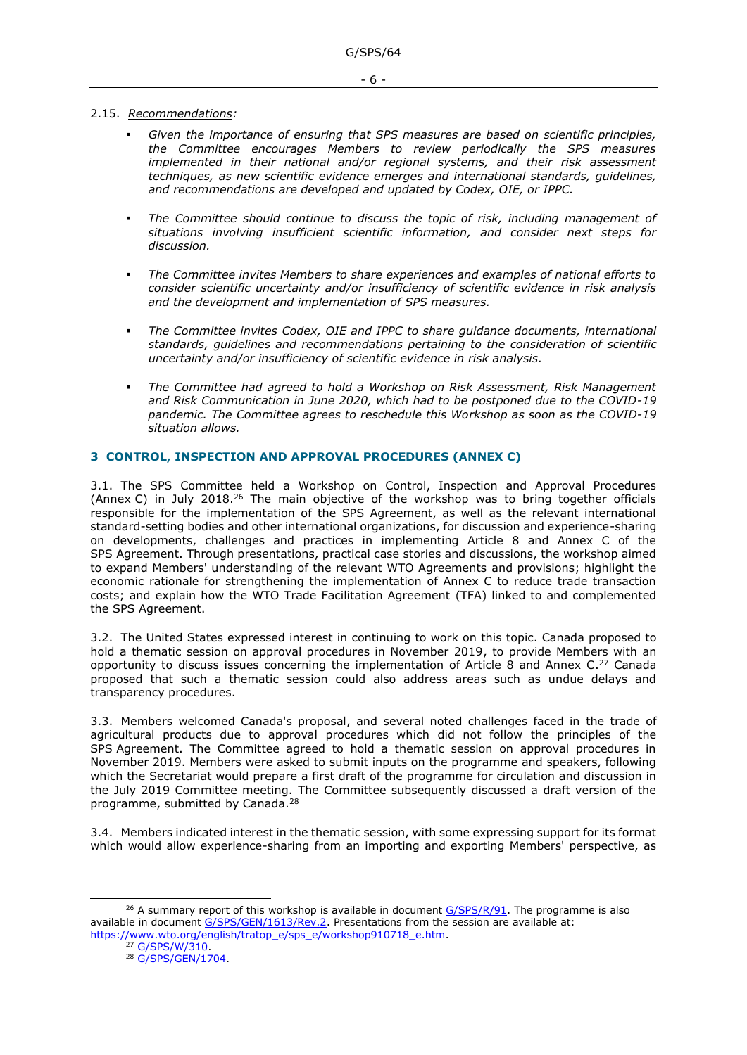### 2.15. *Recommendations:*

- Given the importance of ensuring that SPS measures are based on scientific principles, *the Committee encourages Members to review periodically the SPS measures implemented in their national and/or regional systems, and their risk assessment techniques, as new scientific evidence emerges and international standards, guidelines, and recommendations are developed and updated by Codex, OIE, or IPPC.*
- The Committee should continue to discuss the topic of risk, including management of *situations involving insufficient scientific information, and consider next steps for discussion.*
- *The Committee invites Members to share experiences and examples of national efforts to consider scientific uncertainty and/or insufficiency of scientific evidence in risk analysis and the development and implementation of SPS measures.*
- The Committee invites Codex, OIE and IPPC to share quidance documents, international *standards, guidelines and recommendations pertaining to the consideration of scientific uncertainty and/or insufficiency of scientific evidence in risk analysis.*
- *The Committee had agreed to hold a Workshop on Risk Assessment, Risk Management and Risk Communication in June 2020, which had to be postponed due to the COVID-19 pandemic. The Committee agrees to reschedule this Workshop as soon as the COVID-19 situation allows.*

## <span id="page-5-0"></span>**3 CONTROL, INSPECTION AND APPROVAL PROCEDURES (ANNEX C)**

3.1. The SPS Committee held a Workshop on Control, Inspection and Approval Procedures (Annex C) in July 2018.<sup>26</sup> The main objective of the workshop was to bring together officials responsible for the implementation of the SPS Agreement, as well as the relevant international standard-setting bodies and other international organizations, for discussion and experience-sharing on developments, challenges and practices in implementing Article 8 and Annex C of the SPS Agreement. Through presentations, practical case stories and discussions, the workshop aimed to expand Members' understanding of the relevant WTO Agreements and provisions; highlight the economic rationale for strengthening the implementation of Annex C to reduce trade transaction costs; and explain how the WTO Trade Facilitation Agreement (TFA) linked to and complemented the SPS Agreement.

3.2. The United States expressed interest in continuing to work on this topic. Canada proposed to hold a thematic session on approval procedures in November 2019, to provide Members with an opportunity to discuss issues concerning the implementation of Article 8 and Annex  $C^{27}$  Canada proposed that such a thematic session could also address areas such as undue delays and transparency procedures.

3.3. Members welcomed Canada's proposal, and several noted challenges faced in the trade of agricultural products due to approval procedures which did not follow the principles of the SPS Agreement. The Committee agreed to hold a thematic session on approval procedures in November 2019. Members were asked to submit inputs on the programme and speakers, following which the Secretariat would prepare a first draft of the programme for circulation and discussion in the July 2019 Committee meeting. The Committee subsequently discussed a draft version of the programme, submitted by Canada.<sup>28</sup>

3.4. Members indicated interest in the thematic session, with some expressing support for its format which would allow experience-sharing from an importing and exporting Members' perspective, as

<sup>&</sup>lt;sup>26</sup> A summary report of this workshop is available in document  $G/SPS/R/91$ . The programme is also available in document [G/SPS/GEN/1613/Rev.2.](https://docs.wto.org/dol2fe/Pages/FE_Search/FE_S_S006.aspx?DataSource=Cat&query=@Symbol=%22G/SPS/GEN/1613/Rev.2%22%20OR%20@Symbol=%22G/SPS/GEN/1613/Rev.2/*%22&Language=English&Context=ScriptedSearches&languageUIChanged=true) Presentations from the session are available at: [https://www.wto.org/english/tratop\\_e/sps\\_e/workshop910718\\_e.htm.](https://www.wto.org/english/tratop_e/sps_e/workshop910718_e.htm)

<sup>&</sup>lt;sup>27</sup> [G/SPS/W/310.](https://docs.wto.org/dol2fe/Pages/FE_Search/FE_S_S006.aspx?DataSource=Cat&query=@Symbol=%22G/SPS/W/310%22%20OR%20@Symbol=%22G/SPS/W/310/*%22&Language=English&Context=ScriptedSearches&languageUIChanged=true)

<sup>&</sup>lt;sup>28</sup> [G/SPS/GEN/1704.](https://docs.wto.org/dol2fe/Pages/FE_Search/FE_S_S006.aspx?DataSource=Cat&query=@Symbol=%22G/SPS/GEN/1704%22%20OR%20@Symbol=%22G/SPS/GEN/1704/*%22&Language=English&Context=ScriptedSearches&languageUIChanged=true)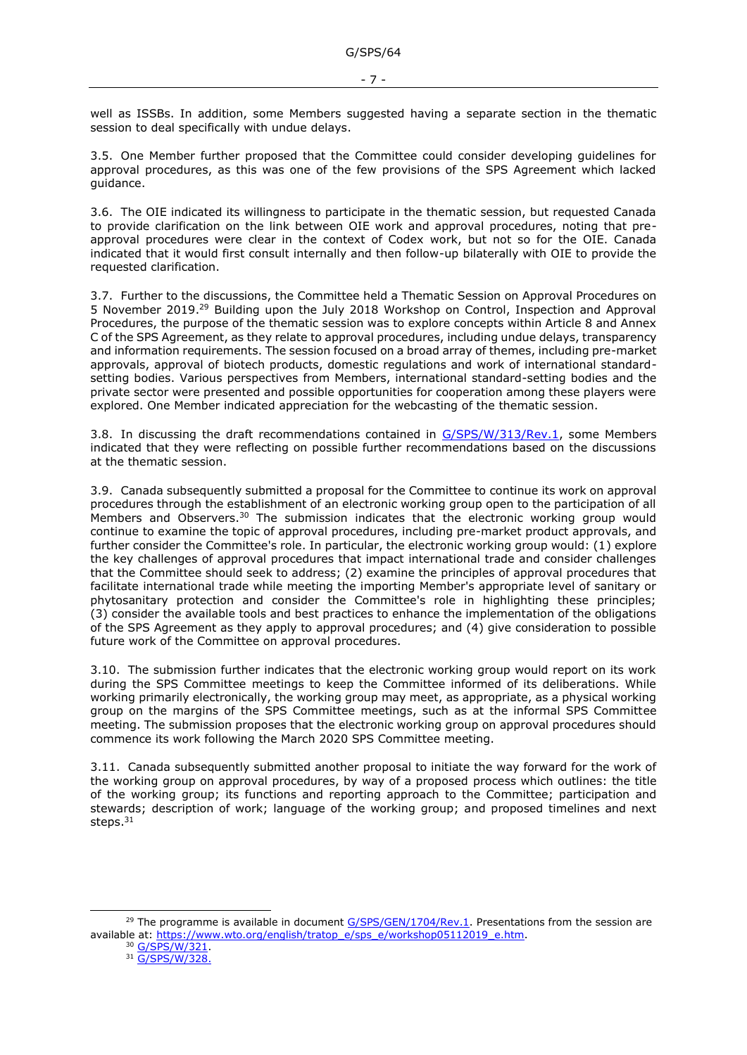well as ISSBs. In addition, some Members suggested having a separate section in the thematic session to deal specifically with undue delays.

3.5. One Member further proposed that the Committee could consider developing guidelines for approval procedures, as this was one of the few provisions of the SPS Agreement which lacked guidance.

3.6. The OIE indicated its willingness to participate in the thematic session, but requested Canada to provide clarification on the link between OIE work and approval procedures, noting that preapproval procedures were clear in the context of Codex work, but not so for the OIE. Canada indicated that it would first consult internally and then follow-up bilaterally with OIE to provide the requested clarification.

3.7. Further to the discussions, the Committee held a Thematic Session on Approval Procedures on 5 November 2019.<sup>29</sup> Building upon the July 2018 Workshop on Control, Inspection and Approval Procedures, the purpose of the thematic session was to explore concepts within Article 8 and Annex C of the SPS Agreement, as they relate to approval procedures, including undue delays, transparency and information requirements. The session focused on a broad array of themes, including pre-market approvals, approval of biotech products, domestic regulations and work of international standardsetting bodies. Various perspectives from Members, international standard-setting bodies and the private sector were presented and possible opportunities for cooperation among these players were explored. One Member indicated appreciation for the webcasting of the thematic session.

3.8. In discussing the draft recommendations contained in [G/SPS/W/313/Rev.1,](https://docs.wto.org/dol2fe/Pages/FE_Search/FE_S_S006.aspx?DataSource=Cat&query=@Symbol=%22G/SPS/W/313/Rev.1%22%20OR%20@Symbol=%22G/SPS/W/313/Rev.1/*%22&Language=English&Context=ScriptedSearches&languageUIChanged=true) some Members indicated that they were reflecting on possible further recommendations based on the discussions at the thematic session.

3.9. Canada subsequently submitted a proposal for the Committee to continue its work on approval procedures through the establishment of an electronic working group open to the participation of all Members and Observers.<sup>30</sup> The submission indicates that the electronic working group would continue to examine the topic of approval procedures, including pre-market product approvals, and further consider the Committee's role. In particular, the electronic working group would: (1) explore the key challenges of approval procedures that impact international trade and consider challenges that the Committee should seek to address; (2) examine the principles of approval procedures that facilitate international trade while meeting the importing Member's appropriate level of sanitary or phytosanitary protection and consider the Committee's role in highlighting these principles; (3) consider the available tools and best practices to enhance the implementation of the obligations of the SPS Agreement as they apply to approval procedures; and (4) give consideration to possible future work of the Committee on approval procedures.

3.10. The submission further indicates that the electronic working group would report on its work during the SPS Committee meetings to keep the Committee informed of its deliberations. While working primarily electronically, the working group may meet, as appropriate, as a physical working group on the margins of the SPS Committee meetings, such as at the informal SPS Committee meeting. The submission proposes that the electronic working group on approval procedures should commence its work following the March 2020 SPS Committee meeting.

3.11. Canada subsequently submitted another proposal to initiate the way forward for the work of the working group on approval procedures, by way of a proposed process which outlines: the title of the working group; its functions and reporting approach to the Committee; participation and stewards; description of work; language of the working group; and proposed timelines and next steps.<sup>31</sup>

<sup>&</sup>lt;sup>29</sup> The programme is available in document  $G/SPS/GEN/1704/Rev.1$ . Presentations from the session are available at: https://www.wto.org/english/tratop\_e/sps\_e[/workshop05112019\\_](https://www.wto.org/english/tratop_e/sps_e/workshop05112019_e.htm)e.htm.

<sup>30</sup> [G/SPS/W/321.](https://docs.wto.org/dol2fe/Pages/FE_Search/FE_S_S006.aspx?DataSource=Cat&query=@Symbol=%22G/SPS/W/321%22%20OR%20@Symbol=%22G/SPS/W/321/*%22&Language=English&Context=ScriptedSearches&languageUIChanged=true)

<sup>31</sup> [G/SPS/W/328.](https://docs.wto.org/dol2fe/Pages/FE_Search/FE_S_S006.aspx?DataSource=Cat&query=@Symbol=%22G/SPS/W/328%22%20OR%20@Symbol=%22G/SPS/W/328/*%22&Language=English&Context=ScriptedSearches&languageUIChanged=true)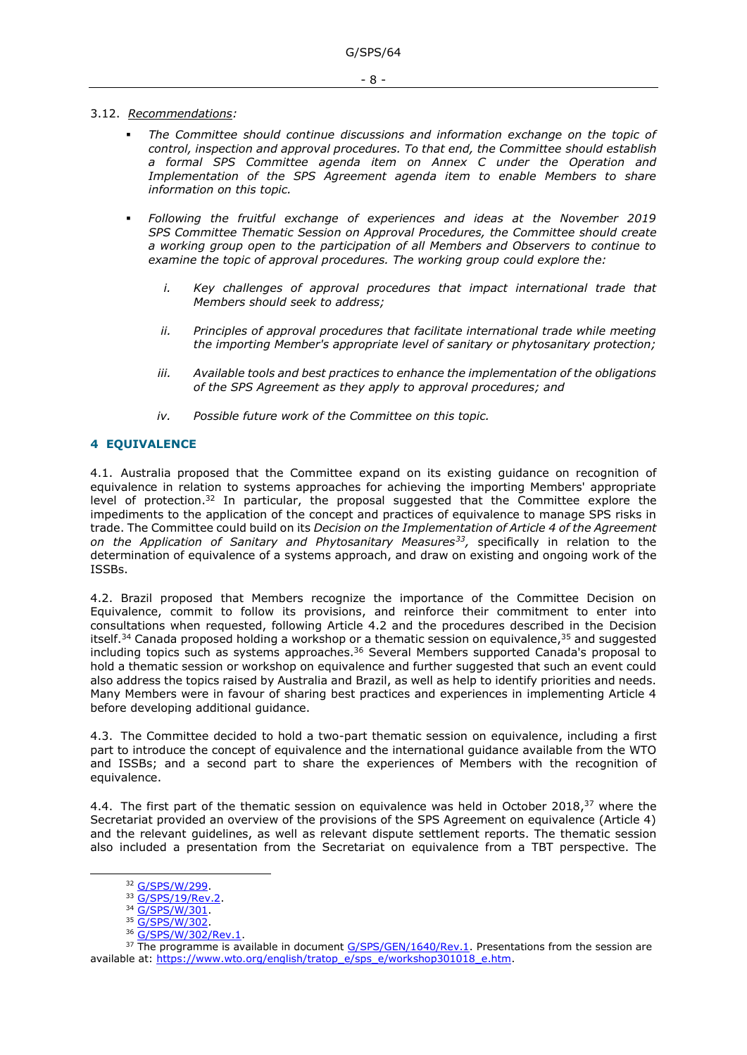### 3.12. *Recommendations:*

- The Committee should continue discussions and information exchange on the topic of *control, inspection and approval procedures. To that end, the Committee should establish a formal SPS Committee agenda item on Annex C under the Operation and Implementation of the SPS Agreement agenda item to enable Members to share information on this topic.*
- *Following the fruitful exchange of experiences and ideas at the November 2019 SPS Committee Thematic Session on Approval Procedures, the Committee should create a working group open to the participation of all Members and Observers to continue to examine the topic of approval procedures. The working group could explore the:*
	- *i.* Key challenges of approval procedures that impact international trade that *Members should seek to address;*
	- *ii. Principles of approval procedures that facilitate international trade while meeting the importing Member's appropriate level of sanitary or phytosanitary protection;*
	- *iii. Available tools and best practices to enhance the implementation of the obligations of the SPS Agreement as they apply to approval procedures; and*
	- *iv. Possible future work of the Committee on this topic.*

## <span id="page-7-0"></span>**4 EQUIVALENCE**

4.1. Australia proposed that the Committee expand on its existing guidance on recognition of equivalence in relation to systems approaches for achieving the importing Members' appropriate level of protection.<sup>32</sup> In particular, the proposal suggested that the Committee explore the impediments to the application of the concept and practices of equivalence to manage SPS risks in trade. The Committee could build on its *Decision on the Implementation of Article 4 of the Agreement on the Application of Sanitary and Phytosanitary Measures<sup>33</sup> ,* specifically in relation to the determination of equivalence of a systems approach, and draw on existing and ongoing work of the ISSBs.

4.2. Brazil proposed that Members recognize the importance of the Committee Decision on Equivalence, commit to follow its provisions, and reinforce their commitment to enter into consultations when requested, following Article 4.2 and the procedures described in the Decision itself.<sup>34</sup> Canada proposed holding a workshop or a thematic session on equivalence,<sup>35</sup> and suggested including topics such as systems approaches.<sup>36</sup> Several Members supported Canada's proposal to hold a thematic session or workshop on equivalence and further suggested that such an event could also address the topics raised by Australia and Brazil, as well as help to identify priorities and needs. Many Members were in favour of sharing best practices and experiences in implementing Article 4 before developing additional guidance.

4.3. The Committee decided to hold a two-part thematic session on equivalence, including a first part to introduce the concept of equivalence and the international guidance available from the WTO and ISSBs; and a second part to share the experiences of Members with the recognition of equivalence.

4.4. The first part of the thematic session on equivalence was held in October 2018,<sup>37</sup> where the Secretariat provided an overview of the provisions of the SPS Agreement on equivalence (Article 4) and the relevant guidelines, as well as relevant dispute settlement reports. The thematic session also included a presentation from the Secretariat on equivalence from a TBT perspective. The

<sup>32</sup> [G/SPS/W/299.](https://docs.wto.org/dol2fe/Pages/FE_Search/FE_S_S006.aspx?DataSource=Cat&query=@Symbol=%22G/SPS/W/299%22%20OR%20@Symbol=%22G/SPS/W/299/*%22&Language=English&Context=ScriptedSearches&languageUIChanged=true)

<sup>33</sup> [G/SPS/19/Rev.2.](https://docs.wto.org/dol2fe/Pages/FE_Search/FE_S_S006.aspx?DataSource=Cat&query=@Symbol=%22G/SPS/19/Rev.2%22%20OR%20@Symbol=%22G/SPS/19/Rev.2/*%22&Language=English&Context=ScriptedSearches&languageUIChanged=true)

<sup>34</sup> [G/SPS/W/301.](https://docs.wto.org/dol2fe/Pages/FE_Search/FE_S_S006.aspx?DataSource=Cat&query=@Symbol=%22G/SPS/W/301%22%20OR%20@Symbol=%22G/SPS/W/301/*%22&Language=English&Context=ScriptedSearches&languageUIChanged=true)

<sup>35</sup> [G/SPS/W/302.](https://docs.wto.org/dol2fe/Pages/FE_Search/FE_S_S006.aspx?DataSource=Cat&query=@Symbol=%22G/SPS/W/302%22%20OR%20@Symbol=%22G/SPS/W/302/*%22&Language=English&Context=ScriptedSearches&languageUIChanged=true)

<sup>36</sup> [G/SPS/W/302/Rev.1.](https://docs.wto.org/dol2fe/Pages/FE_Search/FE_S_S006.aspx?DataSource=Cat&query=@Symbol=%22G/SPS/W/302/Rev.1%22%20OR%20@Symbol=%22G/SPS/W/302/Rev.1/*%22&Language=English&Context=ScriptedSearches&languageUIChanged=true)

<sup>&</sup>lt;sup>37</sup> The programme is available in document [G/SPS/GEN/1640/Rev.1.](https://docs.wto.org/dol2fe/Pages/FE_Search/FE_S_S006.aspx?DataSource=Cat&query=@Symbol=%22G/SPS/GEN/1640/Rev.1%22%20OR%20@Symbol=%22G/SPS/GEN/1640/Rev.1/*%22&Language=English&Context=ScriptedSearches&languageUIChanged=true) Presentations from the session are available at: [https://www.wto.org/english/tratop\\_e/sps\\_e/workshop301018\\_e.htm.](https://www.wto.org/english/tratop_e/sps_e/workshop301018_e.htm)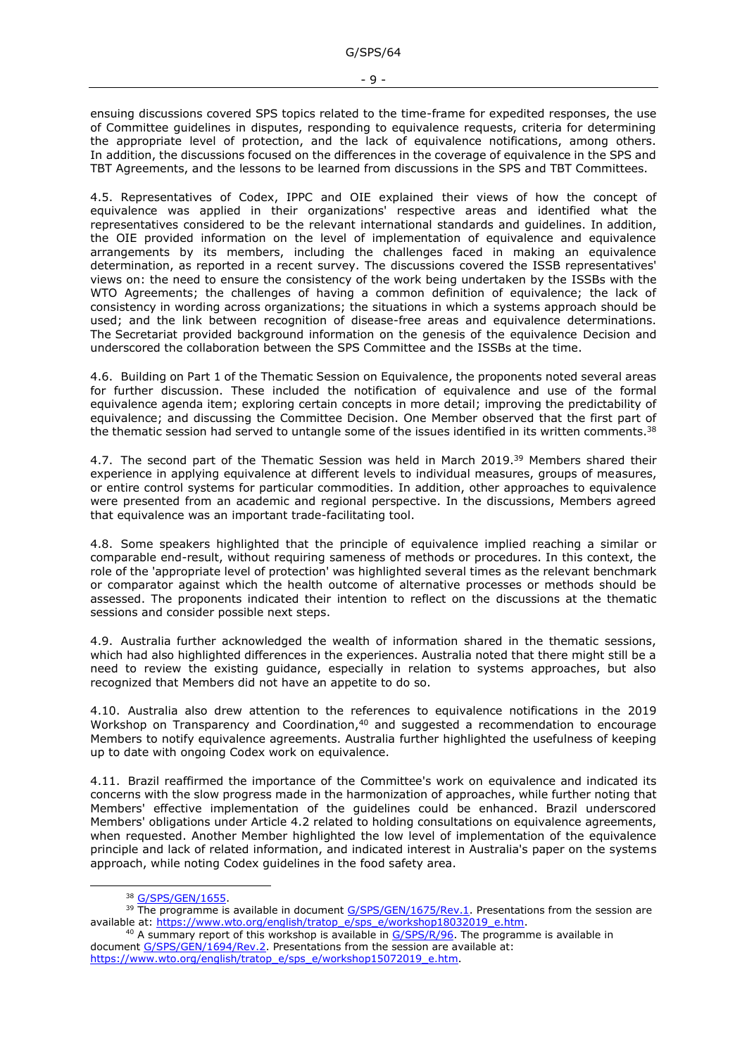ensuing discussions covered SPS topics related to the time-frame for expedited responses, the use of Committee guidelines in disputes, responding to equivalence requests, criteria for determining the appropriate level of protection, and the lack of equivalence notifications, among others. In addition, the discussions focused on the differences in the coverage of equivalence in the SPS and TBT Agreements, and the lessons to be learned from discussions in the SPS and TBT Committees.

4.5. Representatives of Codex, IPPC and OIE explained their views of how the concept of equivalence was applied in their organizations' respective areas and identified what the representatives considered to be the relevant international standards and guidelines. In addition, the OIE provided information on the level of implementation of equivalence and equivalence arrangements by its members, including the challenges faced in making an equivalence determination, as reported in a recent survey. The discussions covered the ISSB representatives' views on: the need to ensure the consistency of the work being undertaken by the ISSBs with the WTO Agreements; the challenges of having a common definition of equivalence; the lack of consistency in wording across organizations; the situations in which a systems approach should be used; and the link between recognition of disease-free areas and equivalence determinations. The Secretariat provided background information on the genesis of the equivalence Decision and underscored the collaboration between the SPS Committee and the ISSBs at the time.

4.6. Building on Part 1 of the Thematic Session on Equivalence, the proponents noted several areas for further discussion. These included the notification of equivalence and use of the formal equivalence agenda item; exploring certain concepts in more detail; improving the predictability of equivalence; and discussing the Committee Decision. One Member observed that the first part of the thematic session had served to untangle some of the issues identified in its written comments.<sup>38</sup>

4.7. The second part of the Thematic Session was held in March 2019.<sup>39</sup> Members shared their experience in applying equivalence at different levels to individual measures, groups of measures, or entire control systems for particular commodities. In addition, other approaches to equivalence were presented from an academic and regional perspective. In the discussions, Members agreed that equivalence was an important trade-facilitating tool.

4.8. Some speakers highlighted that the principle of equivalence implied reaching a similar or comparable end-result, without requiring sameness of methods or procedures. In this context, the role of the 'appropriate level of protection' was highlighted several times as the relevant benchmark or comparator against which the health outcome of alternative processes or methods should be assessed. The proponents indicated their intention to reflect on the discussions at the thematic sessions and consider possible next steps.

4.9. Australia further acknowledged the wealth of information shared in the thematic sessions, which had also highlighted differences in the experiences. Australia noted that there might still be a need to review the existing guidance, especially in relation to systems approaches, but also recognized that Members did not have an appetite to do so.

4.10. Australia also drew attention to the references to equivalence notifications in the 2019 Workshop on Transparency and Coordination,<sup>40</sup> and suggested a recommendation to encourage Members to notify equivalence agreements. Australia further highlighted the usefulness of keeping up to date with ongoing Codex work on equivalence.

4.11. Brazil reaffirmed the importance of the Committee's work on equivalence and indicated its concerns with the slow progress made in the harmonization of approaches, while further noting that Members' effective implementation of the guidelines could be enhanced. Brazil underscored Members' obligations under Article 4.2 related to holding consultations on equivalence agreements, when requested. Another Member highlighted the low level of implementation of the equivalence principle and lack of related information, and indicated interest in Australia's paper on the systems approach, while noting Codex guidelines in the food safety area.

<sup>38</sup> [G/SPS/GEN/1655.](https://docs.wto.org/dol2fe/Pages/FE_Search/FE_S_S006.aspx?DataSource=Cat&query=@Symbol=%22G/SPS/GEN/1655%22%20OR%20@Symbol=%22G/SPS/GEN/1655/*%22&Language=English&Context=ScriptedSearches&languageUIChanged=true)

<sup>&</sup>lt;sup>39</sup> The programme is available in document [G/SPS/GEN/1675/Rev.1.](https://docs.wto.org/dol2fe/Pages/FE_Search/FE_S_S006.aspx?DataSource=Cat&query=@Symbol=%22G/SPS/GEN/1675/Rev.1%22%20OR%20@Symbol=%22G/SPS/GEN/1675/Rev.1/*%22&Language=English&Context=ScriptedSearches&languageUIChanged=true) Presentations from the session are available at: [https://www.wto.org/english/tratop\\_e/sps\\_e/workshop18032019\\_e.htm.](https://www.wto.org/english/tratop_e/sps_e/workshop18032019_e.htm)

 $40$  A summary report of this workshop is available in  $G/SPS/R/96$ . The programme is available in document [G/SPS/GEN/1694/Rev.2.](https://docs.wto.org/dol2fe/Pages/FE_Search/FE_S_S006.aspx?DataSource=Cat&query=@Symbol=%22G/SPS/GEN/1694/Rev.2%22%20OR%20@Symbol=%22G/SPS/GEN/1694/Rev.2/*%22&Language=English&Context=ScriptedSearches&languageUIChanged=true) Presentations from the session are available at: [https://www.wto.org/english/tratop\\_e/sps\\_e/workshop15072019\\_e.htm.](https://www.wto.org/english/tratop_e/sps_e/workshop15072019_e.htm)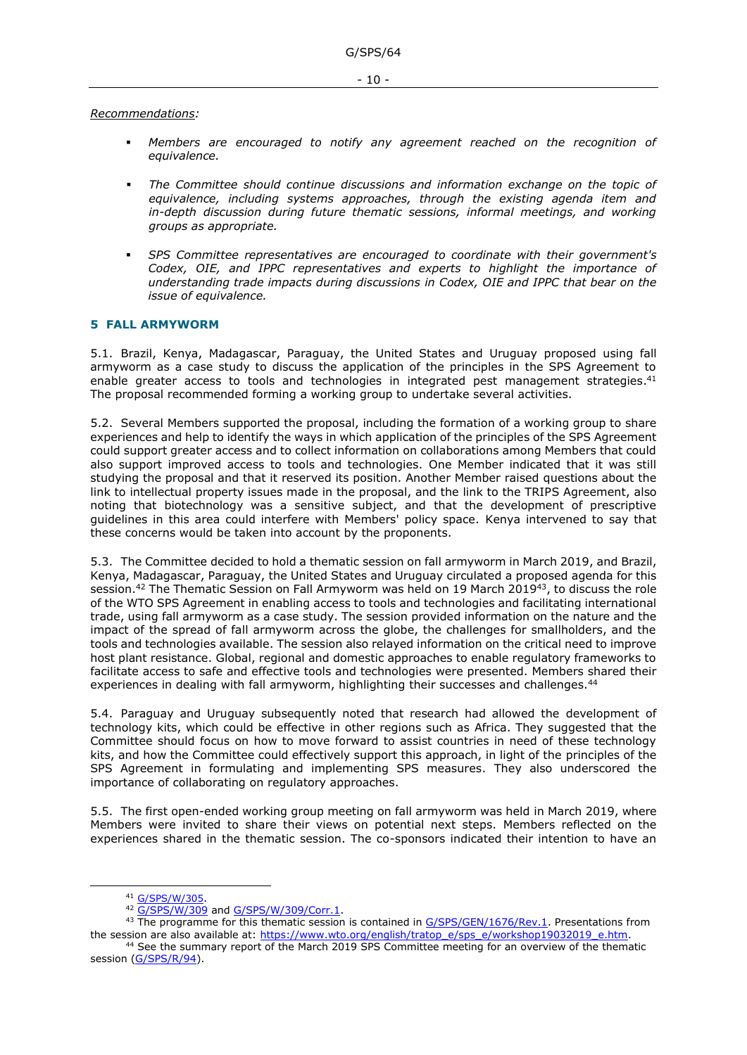#### *Recommendations:*

- Members are encouraged to notify any agreement reached on the recognition of *equivalence.*
- The Committee should continue discussions and information exchange on the topic of *equivalence, including systems approaches, through the existing agenda item and*  in-depth discussion during future thematic sessions, informal meetings, and working *groups as appropriate.*
- *SPS Committee representatives are encouraged to coordinate with their government's Codex, OIE, and IPPC representatives and experts to highlight the importance of understanding trade impacts during discussions in Codex, OIE and IPPC that bear on the issue of equivalence.*

## <span id="page-9-0"></span>**5 FALL ARMYWORM**

5.1. Brazil, Kenya, Madagascar, Paraguay, the United States and Uruguay proposed using fall armyworm as a case study to discuss the application of the principles in the SPS Agreement to enable greater access to tools and technologies in integrated pest management strategies.<sup>41</sup> The proposal recommended forming a working group to undertake several activities.

5.2. Several Members supported the proposal, including the formation of a working group to share experiences and help to identify the ways in which application of the principles of the SPS Agreement could support greater access and to collect information on collaborations among Members that could also support improved access to tools and technologies. One Member indicated that it was still studying the proposal and that it reserved its position. Another Member raised questions about the link to intellectual property issues made in the proposal, and the link to the TRIPS Agreement, also noting that biotechnology was a sensitive subject, and that the development of prescriptive guidelines in this area could interfere with Members' policy space. Kenya intervened to say that these concerns would be taken into account by the proponents.

5.3. The Committee decided to hold a thematic session on fall armyworm in March 2019, and Brazil, Kenya, Madagascar, Paraguay, the United States and Uruguay circulated a proposed agenda for this session.<sup>42</sup> The Thematic Session on Fall Armyworm was held on 19 March 2019<sup>43</sup>, to discuss the role of the WTO SPS Agreement in enabling access to tools and technologies and facilitating international trade, using fall armyworm as a case study. The session provided information on the nature and the impact of the spread of fall armyworm across the globe, the challenges for smallholders, and the tools and technologies available. The session also relayed information on the critical need to improve host plant resistance. Global, regional and domestic approaches to enable regulatory frameworks to facilitate access to safe and effective tools and technologies were presented. Members shared their experiences in dealing with fall armyworm, highlighting their successes and challenges.<sup>44</sup>

5.4. Paraguay and Uruguay subsequently noted that research had allowed the development of technology kits, which could be effective in other regions such as Africa. They suggested that the Committee should focus on how to move forward to assist countries in need of these technology kits, and how the Committee could effectively support this approach, in light of the principles of the SPS Agreement in formulating and implementing SPS measures. They also underscored the importance of collaborating on regulatory approaches.

5.5. The first open-ended working group meeting on fall armyworm was held in March 2019, where Members were invited to share their views on potential next steps. Members reflected on the experiences shared in the thematic session. The co-sponsors indicated their intention to have an

<sup>41</sup> [G/SPS/W/305](https://docs.wto.org/dol2fe/Pages/FE_Search/FE_S_S006.aspx?DataSource=Cat&query=@Symbol=%22G/SPS/W/305%22%20OR%20@Symbol=%22G/SPS/W/305/*%22&Language=English&Context=ScriptedSearches&languageUIChanged=true).

<sup>42</sup> [G/SPS/W/309](https://docs.wto.org/dol2fe/Pages/FE_Search/FE_S_S006.aspx?DataSource=Cat&query=@Symbol=%22G/SPS/W/309%22%20OR%20@Symbol=%22G/SPS/W/309/*%22&Language=English&Context=ScriptedSearches&languageUIChanged=true) and [G/SPS/W/309/Corr.1.](https://docs.wto.org/dol2fe/Pages/FE_Search/FE_S_S006.aspx?DataSource=Cat&query=@Symbol=%22G/SPS/W/309/Corr.1%22%20OR%20@Symbol=%22G/SPS/W/309/Corr.1/*%22&Language=English&Context=ScriptedSearches&languageUIChanged=true)

<sup>&</sup>lt;sup>43</sup> The programme for this thematic session is contained in [G/SPS/GEN/1676/Rev.1.](https://docs.wto.org/dol2fe/Pages/FE_Search/FE_S_S006.aspx?DataSource=Cat&query=@Symbol=%22G/SPS/GEN/1676/Rev.1%22%20OR%20@Symbol=%22G/SPS/GEN/1676/Rev.1/*%22&Language=English&Context=ScriptedSearches&languageUIChanged=true) Presentations from the session are also available at: [https://www.wto.org/english/tratop\\_e/sps\\_e/workshop19032019\\_e.htm.](https://www.wto.org/english/tratop_e/sps_e/workshop19032019_e.htm)

<sup>44</sup> See the summary report of the March 2019 SPS Committee meeting for an overview of the thematic session [\(G/SPS/R/94\)](https://docs.wto.org/dol2fe/Pages/FE_Search/FE_S_S006.aspx?DataSource=Cat&query=@Symbol=G/SPS/R/94*&Language=English&Context=ScriptedSearches&languageUIChanged=true).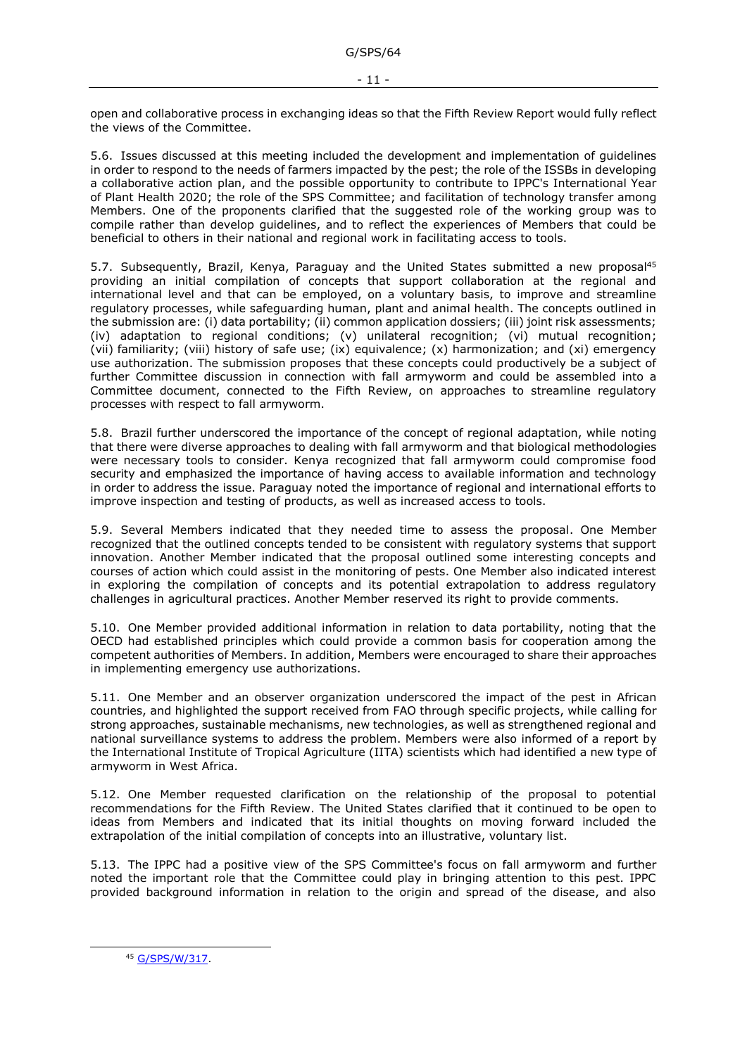open and collaborative process in exchanging ideas so that the Fifth Review Report would fully reflect the views of the Committee.

5.6. Issues discussed at this meeting included the development and implementation of guidelines in order to respond to the needs of farmers impacted by the pest; the role of the ISSBs in developing a collaborative action plan, and the possible opportunity to contribute to IPPC's International Year of Plant Health 2020; the role of the SPS Committee; and facilitation of technology transfer among Members. One of the proponents clarified that the suggested role of the working group was to compile rather than develop guidelines, and to reflect the experiences of Members that could be beneficial to others in their national and regional work in facilitating access to tools.

5.7. Subsequently, Brazil, Kenya, Paraguay and the United States submitted a new proposal<sup>45</sup> providing an initial compilation of concepts that support collaboration at the regional and international level and that can be employed, on a voluntary basis, to improve and streamline regulatory processes, while safeguarding human, plant and animal health. The concepts outlined in the submission are: (i) data portability; (ii) common application dossiers; (iii) joint risk assessments; (iv) adaptation to regional conditions; (v) unilateral recognition; (vi) mutual recognition; (vii) familiarity; (viii) history of safe use; (ix) equivalence; (x) harmonization; and (xi) emergency use authorization. The submission proposes that these concepts could productively be a subject of further Committee discussion in connection with fall armyworm and could be assembled into a Committee document, connected to the Fifth Review, on approaches to streamline regulatory processes with respect to fall armyworm.

5.8. Brazil further underscored the importance of the concept of regional adaptation, while noting that there were diverse approaches to dealing with fall armyworm and that biological methodologies were necessary tools to consider. Kenya recognized that fall armyworm could compromise food security and emphasized the importance of having access to available information and technology in order to address the issue. Paraguay noted the importance of regional and international efforts to improve inspection and testing of products, as well as increased access to tools.

5.9. Several Members indicated that they needed time to assess the proposal. One Member recognized that the outlined concepts tended to be consistent with regulatory systems that support innovation. Another Member indicated that the proposal outlined some interesting concepts and courses of action which could assist in the monitoring of pests. One Member also indicated interest in exploring the compilation of concepts and its potential extrapolation to address regulatory challenges in agricultural practices. Another Member reserved its right to provide comments.

5.10. One Member provided additional information in relation to data portability, noting that the OECD had established principles which could provide a common basis for cooperation among the competent authorities of Members. In addition, Members were encouraged to share their approaches in implementing emergency use authorizations.

5.11. One Member and an observer organization underscored the impact of the pest in African countries, and highlighted the support received from FAO through specific projects, while calling for strong approaches, sustainable mechanisms, new technologies, as well as strengthened regional and national surveillance systems to address the problem. Members were also informed of a report by the International Institute of Tropical Agriculture (IITA) scientists which had identified a new type of armyworm in West Africa.

5.12. One Member requested clarification on the relationship of the proposal to potential recommendations for the Fifth Review. The United States clarified that it continued to be open to ideas from Members and indicated that its initial thoughts on moving forward included the extrapolation of the initial compilation of concepts into an illustrative, voluntary list.

5.13. The IPPC had a positive view of the SPS Committee's focus on fall armyworm and further noted the important role that the Committee could play in bringing attention to this pest. IPPC provided background information in relation to the origin and spread of the disease, and also

<sup>45</sup> [G/SPS/W/317.](https://docs.wto.org/dol2fe/Pages/FE_Search/FE_S_S006.aspx?DataSource=Cat&query=@Symbol=%22G/SPS/W/317%22%20OR%20@Symbol=%22G/SPS/W/317/*%22&Language=English&Context=ScriptedSearches&languageUIChanged=true)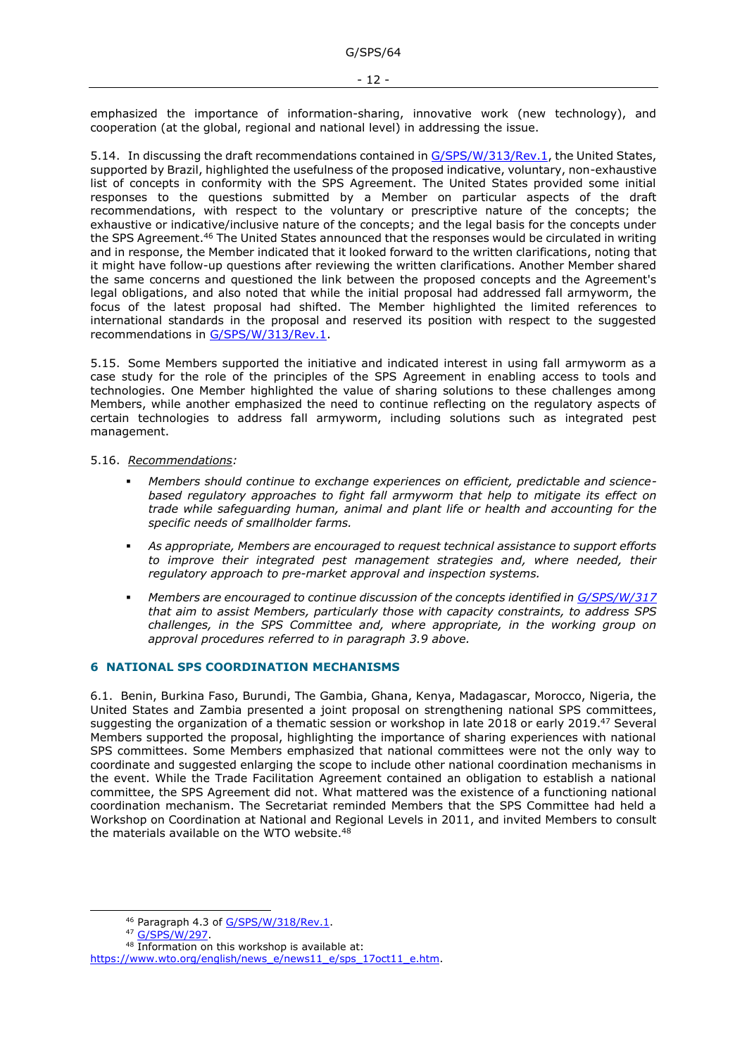emphasized the importance of information-sharing, innovative work (new technology), and cooperation (at the global, regional and national level) in addressing the issue.

5.14. In discussing the draft recommendations contained in [G/SPS/W/313/Rev.1,](https://docs.wto.org/dol2fe/Pages/FE_Search/FE_S_S006.aspx?DataSource=Cat&query=@Symbol=%22G/SPS/W/313/Rev.1%22%20OR%20@Symbol=%22G/SPS/W/313/Rev.1/*%22&Language=English&Context=ScriptedSearches&languageUIChanged=true) the United States, supported by Brazil, highlighted the usefulness of the proposed indicative, voluntary, non-exhaustive list of concepts in conformity with the SPS Agreement. The United States provided some initial responses to the questions submitted by a Member on particular aspects of the draft recommendations, with respect to the voluntary or prescriptive nature of the concepts; the exhaustive or indicative/inclusive nature of the concepts; and the legal basis for the concepts under the SPS Agreement.<sup>46</sup> The United States announced that the responses would be circulated in writing and in response, the Member indicated that it looked forward to the written clarifications, noting that it might have follow-up questions after reviewing the written clarifications. Another Member shared the same concerns and questioned the link between the proposed concepts and the Agreement's legal obligations, and also noted that while the initial proposal had addressed fall armyworm, the focus of the latest proposal had shifted. The Member highlighted the limited references to international standards in the proposal and reserved its position with respect to the suggested recommendations in [G/SPS/W/313/Rev.1.](https://docs.wto.org/dol2fe/Pages/FE_Search/FE_S_S006.aspx?DataSource=Cat&query=@Symbol=%22G/SPS/W/313/Rev.1%22%20OR%20@Symbol=%22G/SPS/W/313/Rev.1/*%22&Language=English&Context=ScriptedSearches&languageUIChanged=true)

5.15. Some Members supported the initiative and indicated interest in using fall armyworm as a case study for the role of the principles of the SPS Agreement in enabling access to tools and technologies. One Member highlighted the value of sharing solutions to these challenges among Members, while another emphasized the need to continue reflecting on the regulatory aspects of certain technologies to address fall armyworm, including solutions such as integrated pest management.

#### 5.16. *Recommendations:*

- *Members should continue to exchange experiences on efficient, predictable and sciencebased regulatory approaches to fight fall armyworm that help to mitigate its effect on trade while safeguarding human, animal and plant life or health and accounting for the specific needs of smallholder farms.*
- As appropriate, Members are encouraged to request technical assistance to support efforts to improve their integrated pest management strategies and, where needed, their *regulatory approach to pre-market approval and inspection systems.*
- *Members are encouraged to continue discussion of the concepts identified in [G/SPS/W/317](https://docs.wto.org/dol2fe/Pages/FE_Search/FE_S_S006.aspx?DataSource=Cat&query=@Symbol=%22G/SPS/W/317%22%20OR%20@Symbol=%22G/SPS/W/317/*%22&Language=English&Context=ScriptedSearches&languageUIChanged=true) that aim to assist Members, particularly those with capacity constraints, to address SPS challenges, in the SPS Committee and, where appropriate, in the working group on approval procedures referred to in paragraph 3.9 above.*

### <span id="page-11-0"></span>**6 NATIONAL SPS COORDINATION MECHANISMS**

6.1. Benin, Burkina Faso, Burundi, The Gambia, Ghana, Kenya, Madagascar, Morocco, Nigeria, the United States and Zambia presented a joint proposal on strengthening national SPS committees, suggesting the organization of a thematic session or workshop in late 2018 or early 2019.<sup>47</sup> Several Members supported the proposal, highlighting the importance of sharing experiences with national SPS committees. Some Members emphasized that national committees were not the only way to coordinate and suggested enlarging the scope to include other national coordination mechanisms in the event. While the Trade Facilitation Agreement contained an obligation to establish a national committee, the SPS Agreement did not. What mattered was the existence of a functioning national coordination mechanism. The Secretariat reminded Members that the SPS Committee had held a Workshop on Coordination at National and Regional Levels in 2011, and invited Members to consult the materials available on the WTO website.<sup>48</sup>

<sup>46</sup> Paragraph 4.3 of [G/SPS/W/318/Rev.1.](https://docs.wto.org/dol2fe/Pages/FE_Search/FE_S_S006.aspx?DataSource=Cat&query=@Symbol=%22G/SPS/W/318/Rev.1%22%20OR%20@Symbol=%22G/SPS/W/318/Rev.1/*%22&Language=English&Context=ScriptedSearches&languageUIChanged=true)

<sup>47</sup> [G/SPS/W/297.](https://docs.wto.org/dol2fe/Pages/FE_Search/FE_S_S006.aspx?DataSource=Cat&query=@Symbol=%22G/SPS/W/297%22%20OR%20@Symbol=%22G/SPS/W/297/*%22&Language=English&Context=ScriptedSearches&languageUIChanged=true)

<sup>48</sup> Information on this workshop is available at:

[https://www.wto.org/english/news\\_e/news11\\_e/sps\\_17oct11\\_e.htm.](https://www.wto.org/english/news_e/news11_e/sps_17oct11_e.htm)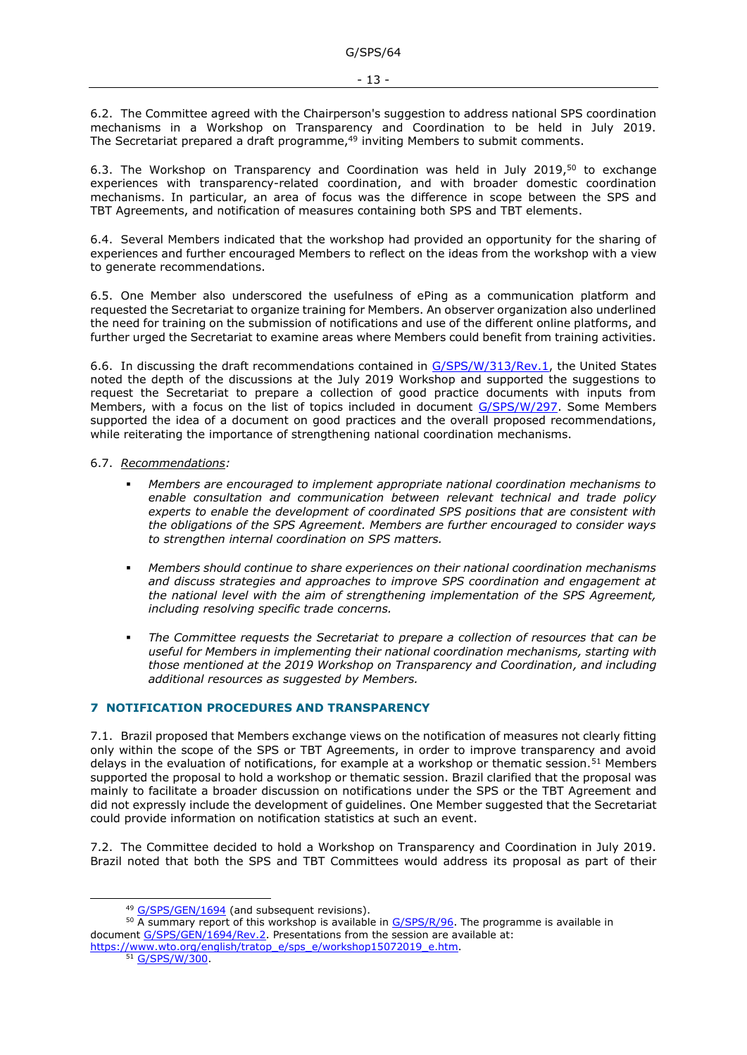6.2. The Committee agreed with the Chairperson's suggestion to address national SPS coordination mechanisms in a Workshop on Transparency and Coordination to be held in July 2019. The Secretariat prepared a draft programme,<sup>49</sup> inviting Members to submit comments.

6.3. The Workshop on Transparency and Coordination was held in July 2019, $50$  to exchange experiences with transparency-related coordination, and with broader domestic coordination mechanisms. In particular, an area of focus was the difference in scope between the SPS and TBT Agreements, and notification of measures containing both SPS and TBT elements.

6.4. Several Members indicated that the workshop had provided an opportunity for the sharing of experiences and further encouraged Members to reflect on the ideas from the workshop with a view to generate recommendations.

6.5. One Member also underscored the usefulness of ePing as a communication platform and requested the Secretariat to organize training for Members. An observer organization also underlined the need for training on the submission of notifications and use of the different online platforms, and further urged the Secretariat to examine areas where Members could benefit from training activities.

6.6. In discussing the draft recommendations contained in [G/SPS/W/313/Rev.1,](https://docs.wto.org/dol2fe/Pages/FE_Search/FE_S_S006.aspx?DataSource=Cat&query=@Symbol=%22G/SPS/W/313/Rev.1%22%20OR%20@Symbol=%22G/SPS/W/313/Rev.1/*%22&Language=English&Context=ScriptedSearches&languageUIChanged=true) the United States noted the depth of the discussions at the July 2019 Workshop and supported the suggestions to request the Secretariat to prepare a collection of good practice documents with inputs from Members, with a focus on the list of topics included in document [G/SPS/W/297.](https://docs.wto.org/dol2fe/Pages/FE_Search/FE_S_S006.aspx?DataSource=Cat&query=@Symbol=%22G/SPS/W/297%22%20OR%20@Symbol=%22G/SPS/W/297/*%22&Language=English&Context=ScriptedSearches&languageUIChanged=true) Some Members supported the idea of a document on good practices and the overall proposed recommendations, while reiterating the importance of strengthening national coordination mechanisms.

#### 6.7. *Recommendations:*

- *Members are encouraged to implement appropriate national coordination mechanisms to enable consultation and communication between relevant technical and trade policy experts to enable the development of coordinated SPS positions that are consistent with the obligations of the SPS Agreement. Members are further encouraged to consider ways to strengthen internal coordination on SPS matters.*
- *Members should continue to share experiences on their national coordination mechanisms and discuss strategies and approaches to improve SPS coordination and engagement at the national level with the aim of strengthening implementation of the SPS Agreement, including resolving specific trade concerns.*
- The Committee requests the Secretariat to prepare a collection of resources that can be *useful for Members in implementing their national coordination mechanisms, starting with those mentioned at the 2019 Workshop on Transparency and Coordination, and including additional resources as suggested by Members.*

### <span id="page-12-0"></span>**7 NOTIFICATION PROCEDURES AND TRANSPARENCY**

7.1. Brazil proposed that Members exchange views on the notification of measures not clearly fitting only within the scope of the SPS or TBT Agreements, in order to improve transparency and avoid delays in the evaluation of notifications, for example at a workshop or thematic session.<sup>51</sup> Members supported the proposal to hold a workshop or thematic session. Brazil clarified that the proposal was mainly to facilitate a broader discussion on notifications under the SPS or the TBT Agreement and did not expressly include the development of guidelines. One Member suggested that the Secretariat could provide information on notification statistics at such an event.

7.2. The Committee decided to hold a Workshop on Transparency and Coordination in July 2019. Brazil noted that both the SPS and TBT Committees would address its proposal as part of their

[https://www.wto.org/english/tratop\\_e/sps\\_e/workshop15072019\\_e.htm.](https://www.wto.org/english/tratop_e/sps_e/workshop15072019_e.htm) 51 [G/SPS/W/300.](https://docs.wto.org/dol2fe/Pages/FE_Search/FE_S_S006.aspx?DataSource=Cat&query=@Symbol=%22G/SPS/W/300%22%20OR%20@Symbol=%22G/SPS/W/300/*%22&Language=English&Context=ScriptedSearches&languageUIChanged=true)

<sup>49</sup> [G/SPS/GEN/1694](https://docs.wto.org/dol2fe/Pages/FE_Search/FE_S_S006.aspx?DataSource=Cat&query=@Symbol=%22G/SPS/GEN/1694%22%20OR%20@Symbol=%22G/SPS/GEN/1694/*%22&Language=English&Context=ScriptedSearches&languageUIChanged=true) (and subsequent revisions).

 $50$  A summary report of this workshop is available in  $G/SPS/R/96$ . The programme is available in document [G/SPS/GEN/1694/Rev.2.](https://docs.wto.org/dol2fe/Pages/FE_Search/FE_S_S006.aspx?DataSource=Cat&query=@Symbol=%22G/SPS/GEN/1694/Rev.2%22%20OR%20@Symbol=%22G/SPS/GEN/1694/Rev.2/*%22&Language=English&Context=ScriptedSearches&languageUIChanged=true) Presentations from the session are available at: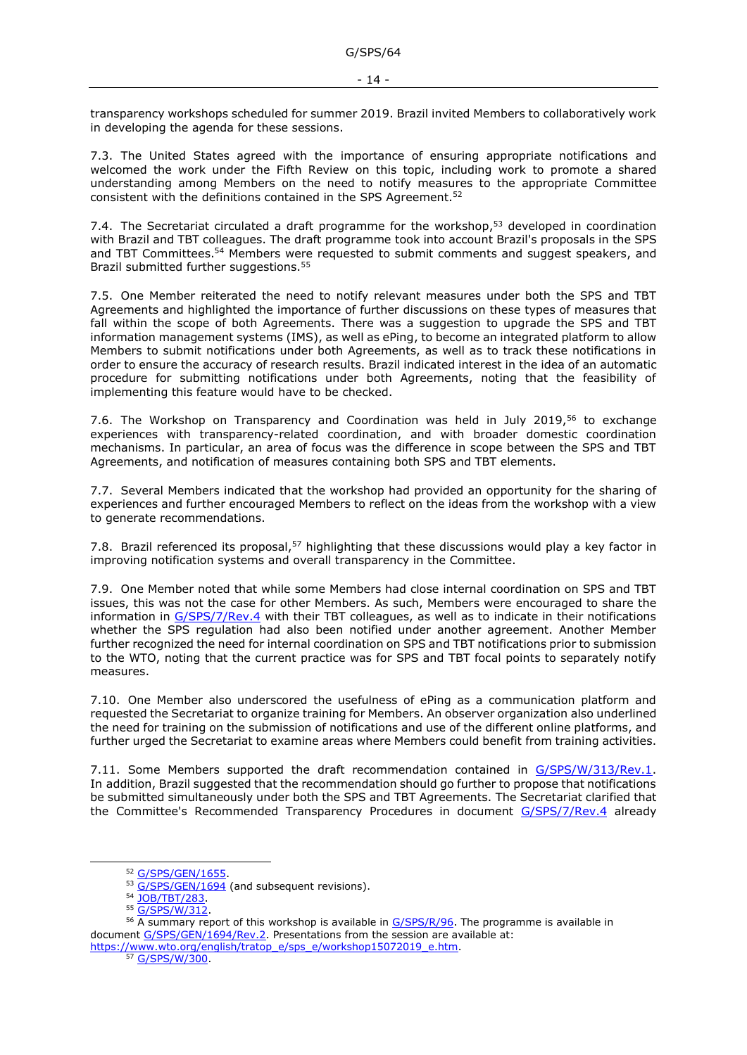transparency workshops scheduled for summer 2019. Brazil invited Members to collaboratively work in developing the agenda for these sessions.

7.3. The United States agreed with the importance of ensuring appropriate notifications and welcomed the work under the Fifth Review on this topic, including work to promote a shared understanding among Members on the need to notify measures to the appropriate Committee consistent with the definitions contained in the SPS Agreement.<sup>52</sup>

7.4. The Secretariat circulated a draft programme for the workshop,<sup>53</sup> developed in coordination with Brazil and TBT colleagues. The draft programme took into account Brazil's proposals in the SPS and TBT Committees. <sup>54</sup> Members were requested to submit comments and suggest speakers, and Brazil submitted further suggestions.<sup>55</sup>

7.5. One Member reiterated the need to notify relevant measures under both the SPS and TBT Agreements and highlighted the importance of further discussions on these types of measures that fall within the scope of both Agreements. There was a suggestion to upgrade the SPS and TBT information management systems (IMS), as well as ePing, to become an integrated platform to allow Members to submit notifications under both Agreements, as well as to track these notifications in order to ensure the accuracy of research results. Brazil indicated interest in the idea of an automatic procedure for submitting notifications under both Agreements, noting that the feasibility of implementing this feature would have to be checked.

7.6. The Workshop on Transparency and Coordination was held in July 2019,<sup>56</sup> to exchange experiences with transparency-related coordination, and with broader domestic coordination mechanisms. In particular, an area of focus was the difference in scope between the SPS and TBT Agreements, and notification of measures containing both SPS and TBT elements.

7.7. Several Members indicated that the workshop had provided an opportunity for the sharing of experiences and further encouraged Members to reflect on the ideas from the workshop with a view to generate recommendations.

7.8. Brazil referenced its proposal,<sup>57</sup> highlighting that these discussions would play a key factor in improving notification systems and overall transparency in the Committee.

7.9. One Member noted that while some Members had close internal coordination on SPS and TBT issues, this was not the case for other Members. As such, Members were encouraged to share the information in [G/SPS/7/Rev.4](https://docs.wto.org/dol2fe/Pages/FE_Search/FE_S_S006.aspx?DataSource=Cat&query=@Symbol=%22G/SPS/7/Rev.4%22%20OR%20@Symbol=%22G/SPS/7/Rev.4/*%22&Language=English&Context=ScriptedSearches&languageUIChanged=true) with their TBT colleagues, as well as to indicate in their notifications whether the SPS regulation had also been notified under another agreement. Another Member further recognized the need for internal coordination on SPS and TBT notifications prior to submission to the WTO, noting that the current practice was for SPS and TBT focal points to separately notify measures.

7.10. One Member also underscored the usefulness of ePing as a communication platform and requested the Secretariat to organize training for Members. An observer organization also underlined the need for training on the submission of notifications and use of the different online platforms, and further urged the Secretariat to examine areas where Members could benefit from training activities.

7.11. Some Members supported the draft recommendation contained in [G/SPS/W/313/Rev.1.](https://docs.wto.org/dol2fe/Pages/FE_Search/FE_S_S006.aspx?DataSource=Cat&query=@Symbol=%22G/SPS/W/313/Rev.1%22%20OR%20@Symbol=%22G/SPS/W/313/Rev.1/*%22&Language=English&Context=ScriptedSearches&languageUIChanged=true) In addition, Brazil suggested that the recommendation should go further to propose that notifications be submitted simultaneously under both the SPS and TBT Agreements. The Secretariat clarified that the Committee's Recommended Transparency Procedures in document [G/SPS/7/Rev.4](https://docs.wto.org/dol2fe/Pages/FE_Search/FE_S_S006.aspx?DataSource=Cat&query=@Symbol=%22G/SPS/7/Rev.4%22%20OR%20@Symbol=%22G/SPS/7/Rev.4/*%22&Language=English&Context=ScriptedSearches&languageUIChanged=true) already

[https://www.wto.org/english/tratop\\_e/sps\\_e/workshop15072019\\_e.htm.](https://www.wto.org/english/tratop_e/sps_e/workshop15072019_e.htm) 57 [G/SPS/W/300.](https://docs.wto.org/dol2fe/Pages/FE_Search/FE_S_S006.aspx?DataSource=Cat&query=@Symbol=%22G/SPS/W/300%22%20OR%20@Symbol=%22G/SPS/W/300/*%22&Language=English&Context=ScriptedSearches&languageUIChanged=true)

<sup>52</sup> [G/SPS/GEN/1655.](https://docs.wto.org/dol2fe/Pages/FE_Search/FE_S_S006.aspx?DataSource=Cat&query=@Symbol=%22G/SPS/GEN/1655%22%20OR%20@Symbol=%22G/SPS/GEN/1655/*%22&Language=English&Context=ScriptedSearches&languageUIChanged=true)

<sup>53</sup> [G/SPS/GEN/1694](https://docs.wto.org/dol2fe/Pages/FE_Search/FE_S_S006.aspx?DataSource=Cat&query=@Symbol=%22G/SPS/GEN/1694%22%20OR%20@Symbol=%22G/SPS/GEN/1694/*%22&Language=English&Context=ScriptedSearches&languageUIChanged=true) (and subsequent revisions).

<sup>54</sup> [JOB/TBT/283.](https://docs.wto.org/dol2fe/Pages/FE_Search/FE_S_S006.aspx?DataSource=Cat&query=@Symbol=%22JOB/TBT/283%22%20OR%20@Symbol=%22JOB/TBT/283/*%22&Language=English&Context=ScriptedSearches&languageUIChanged=true)

<sup>55</sup> [G/SPS/W/312.](https://docs.wto.org/dol2fe/Pages/FE_Search/FE_S_S006.aspx?DataSource=Cat&query=@Symbol=%22G/SPS/W/312%22%20OR%20@Symbol=%22G/SPS/W/312/*%22&Language=English&Context=ScriptedSearches&languageUIChanged=true)

 $56$  A summary report of this workshop is available in  $G/SPS/R/96$ . The programme is available in document [G/SPS/GEN/1694/Rev.2.](https://docs.wto.org/dol2fe/Pages/FE_Search/FE_S_S006.aspx?DataSource=Cat&query=@Symbol=%22G/SPS/GEN/1694/Rev.2%22%20OR%20@Symbol=%22G/SPS/GEN/1694/Rev.2/*%22&Language=English&Context=ScriptedSearches&languageUIChanged=true) Presentations from the session are available at: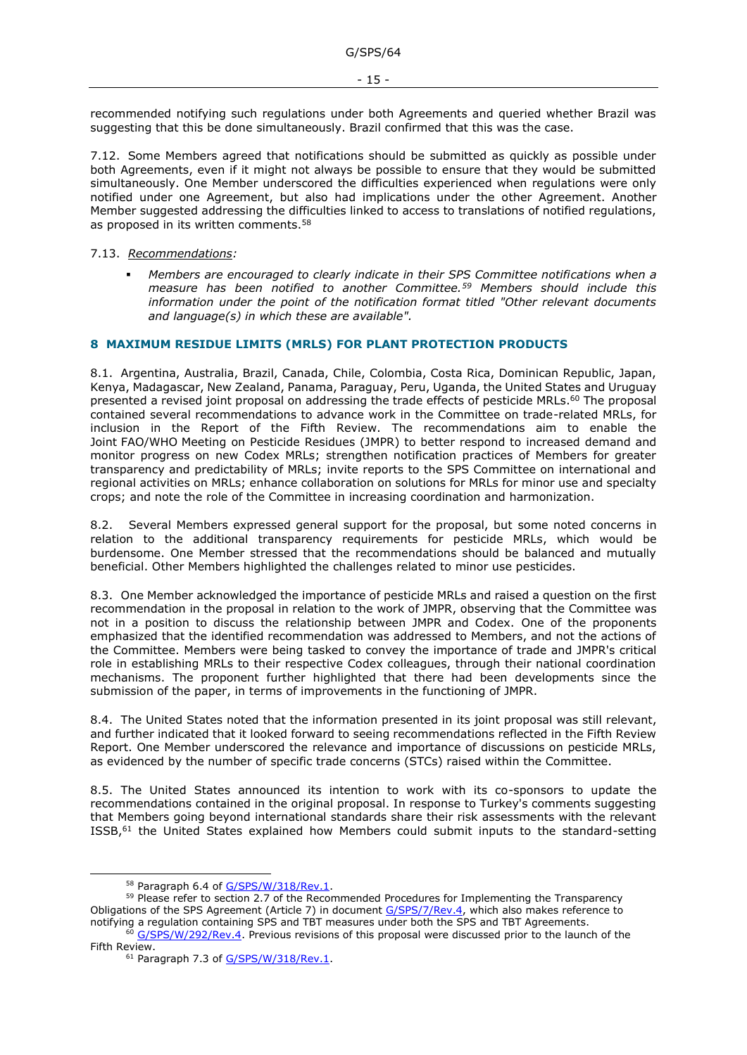recommended notifying such regulations under both Agreements and queried whether Brazil was suggesting that this be done simultaneously. Brazil confirmed that this was the case.

7.12. Some Members agreed that notifications should be submitted as quickly as possible under both Agreements, even if it might not always be possible to ensure that they would be submitted simultaneously. One Member underscored the difficulties experienced when regulations were only notified under one Agreement, but also had implications under the other Agreement. Another Member suggested addressing the difficulties linked to access to translations of notified regulations, as proposed in its written comments.<sup>58</sup>

### 7.13. *Recommendations:*

**•**  Members are encouraged to clearly indicate in their SPS Committee notifications when a *measure has been notified to another Committee.<sup>59</sup> Members should include this information under the point of the notification format titled "Other relevant documents and language(s) in which these are available".*

## <span id="page-14-0"></span>**8 MAXIMUM RESIDUE LIMITS (MRLS) FOR PLANT PROTECTION PRODUCTS**

8.1. Argentina, Australia, Brazil, Canada, Chile, Colombia, Costa Rica, Dominican Republic, Japan, Kenya, Madagascar, New Zealand, Panama, Paraguay, Peru, Uganda, the United States and Uruguay presented a revised joint proposal on addressing the trade effects of pesticide MRLs.<sup>60</sup> The proposal contained several recommendations to advance work in the Committee on trade-related MRLs, for inclusion in the Report of the Fifth Review. The recommendations aim to enable the Joint FAO/WHO Meeting on Pesticide Residues (JMPR) to better respond to increased demand and monitor progress on new Codex MRLs; strengthen notification practices of Members for greater transparency and predictability of MRLs; invite reports to the SPS Committee on international and regional activities on MRLs; enhance collaboration on solutions for MRLs for minor use and specialty crops; and note the role of the Committee in increasing coordination and harmonization.

8.2. Several Members expressed general support for the proposal, but some noted concerns in relation to the additional transparency requirements for pesticide MRLs, which would be burdensome. One Member stressed that the recommendations should be balanced and mutually beneficial. Other Members highlighted the challenges related to minor use pesticides.

8.3. One Member acknowledged the importance of pesticide MRLs and raised a question on the first recommendation in the proposal in relation to the work of JMPR, observing that the Committee was not in a position to discuss the relationship between JMPR and Codex. One of the proponents emphasized that the identified recommendation was addressed to Members, and not the actions of the Committee. Members were being tasked to convey the importance of trade and JMPR's critical role in establishing MRLs to their respective Codex colleagues, through their national coordination mechanisms. The proponent further highlighted that there had been developments since the submission of the paper, in terms of improvements in the functioning of JMPR.

8.4. The United States noted that the information presented in its joint proposal was still relevant, and further indicated that it looked forward to seeing recommendations reflected in the Fifth Review Report. One Member underscored the relevance and importance of discussions on pesticide MRLs, as evidenced by the number of specific trade concerns (STCs) raised within the Committee.

8.5. The United States announced its intention to work with its co-sponsors to update the recommendations contained in the original proposal. In response to Turkey's comments suggesting that Members going beyond international standards share their risk assessments with the relevant ISSB,<sup>61</sup> the United States explained how Members could submit inputs to the standard-setting

<sup>58</sup> Paragraph 6.4 of [G/SPS/W/318/Rev.1.](https://docs.wto.org/dol2fe/Pages/FE_Search/FE_S_S006.aspx?DataSource=Cat&query=@Symbol=%22G/SPS/W/318/Rev.1%22%20OR%20@Symbol=%22G/SPS/W/318/Rev.1/*%22&Language=English&Context=ScriptedSearches&languageUIChanged=true)

<sup>&</sup>lt;sup>59</sup> Please refer to section 2.7 of the Recommended Procedures for Implementing the Transparency Obligations of the SPS Agreement (Article 7) in document [G/SPS/7/Rev.4,](https://docs.wto.org/dol2fe/Pages/FE_Search/FE_S_S006.aspx?DataSource=Cat&query=@Symbol=%22G/SPS/7/Rev.4%22%20OR%20@Symbol=%22G/SPS/7/Rev.4/*%22&Language=English&Context=ScriptedSearches&languageUIChanged=true) which also makes reference to notifying a regulation containing SPS and TBT measures under both the SPS and TBT Agreements.

<sup>&</sup>lt;sup>60</sup> [G/SPS/W/292/Rev.4.](https://docs.wto.org/dol2fe/Pages/FE_Search/FE_S_S006.aspx?DataSource=Cat&query=@Symbol=%22G/SPS/W/292/Rev.4%22%20OR%20@Symbol=%22G/SPS/W/292/Rev.4/*%22&Language=English&Context=ScriptedSearches&languageUIChanged=true) Previous revisions of this proposal were discussed prior to the launch of the Fifth Review.

<sup>&</sup>lt;sup>61</sup> Paragraph 7.3 of [G/SPS/W/318/Rev.1.](https://docs.wto.org/dol2fe/Pages/FE_Search/FE_S_S006.aspx?DataSource=Cat&query=@Symbol=%22G/SPS/W/318/Rev.1%22%20OR%20@Symbol=%22G/SPS/W/318/Rev.1/*%22&Language=English&Context=ScriptedSearches&languageUIChanged=true)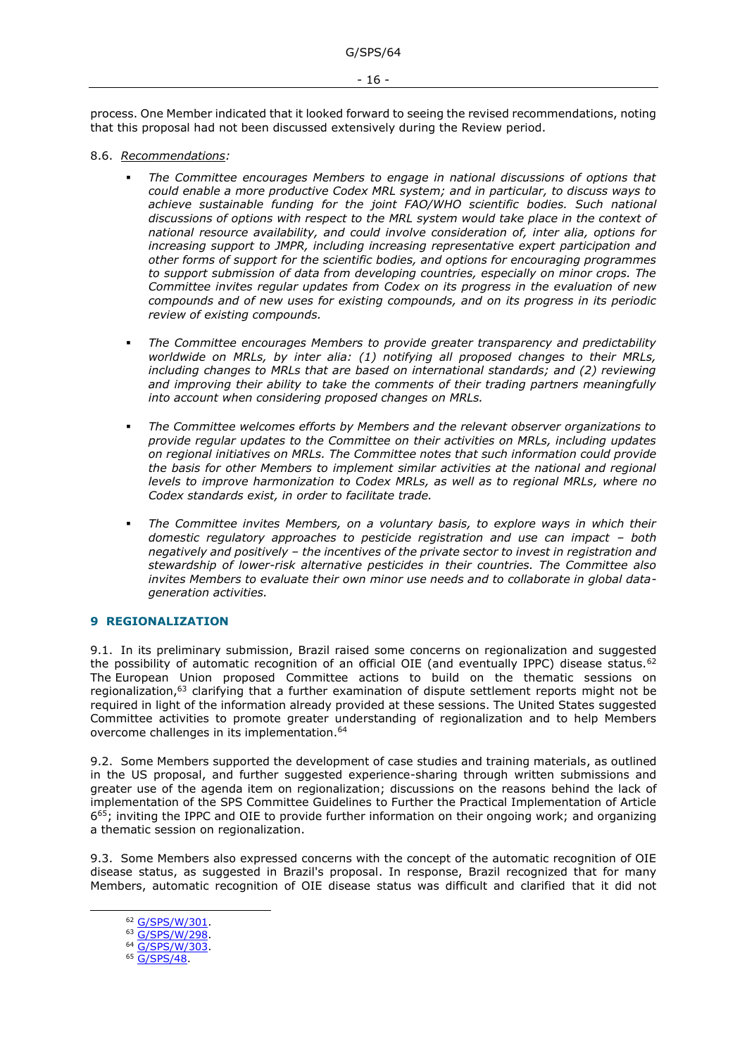process. One Member indicated that it looked forward to seeing the revised recommendations, noting that this proposal had not been discussed extensively during the Review period.

- 8.6. *Recommendations:*
	- The Committee encourages Members to engage in national discussions of options that *could enable a more productive Codex MRL system; and in particular, to discuss ways to*  achieve sustainable funding for the joint FAO/WHO scientific bodies. Such national *discussions of options with respect to the MRL system would take place in the context of national resource availability, and could involve consideration of, inter alia, options for increasing support to JMPR, including increasing representative expert participation and other forms of support for the scientific bodies, and options for encouraging programmes to support submission of data from developing countries, especially on minor crops. The Committee invites regular updates from Codex on its progress in the evaluation of new compounds and of new uses for existing compounds, and on its progress in its periodic review of existing compounds.*
	- The Committee encourages Members to provide greater transparency and predictability *worldwide on MRLs, by inter alia: (1) notifying all proposed changes to their MRLs, including changes to MRLs that are based on international standards; and (2) reviewing and improving their ability to take the comments of their trading partners meaningfully into account when considering proposed changes on MRLs.*
	- The Committee welcomes efforts by Members and the relevant observer organizations to *provide regular updates to the Committee on their activities on MRLs, including updates on regional initiatives on MRLs. The Committee notes that such information could provide the basis for other Members to implement similar activities at the national and regional levels to improve harmonization to Codex MRLs, as well as to regional MRLs, where no Codex standards exist, in order to facilitate trade.*
	- The Committee invites Members, on a voluntary basis, to explore ways in which their *domestic regulatory approaches to pesticide registration and use can impact – both negatively and positively – the incentives of the private sector to invest in registration and stewardship of lower-risk alternative pesticides in their countries. The Committee also invites Members to evaluate their own minor use needs and to collaborate in global datageneration activities.*

### <span id="page-15-0"></span>**9 REGIONALIZATION**

9.1. In its preliminary submission, Brazil raised some concerns on regionalization and suggested the possibility of automatic recognition of an official OIE (and eventually IPPC) disease status.<sup>62</sup> The European Union proposed Committee actions to build on the thematic sessions on regionalization,<sup>63</sup> clarifying that a further examination of dispute settlement reports might not be required in light of the information already provided at these sessions. The United States suggested Committee activities to promote greater understanding of regionalization and to help Members overcome challenges in its implementation.<sup>64</sup>

9.2. Some Members supported the development of case studies and training materials, as outlined in the US proposal, and further suggested experience-sharing through written submissions and greater use of the agenda item on regionalization; discussions on the reasons behind the lack of implementation of the SPS Committee Guidelines to Further the Practical Implementation of Article 6<sup>65</sup>; inviting the IPPC and OIE to provide further information on their ongoing work; and organizing a thematic session on regionalization.

9.3. Some Members also expressed concerns with the concept of the automatic recognition of OIE disease status, as suggested in Brazil's proposal. In response, Brazil recognized that for many Members, automatic recognition of OIE disease status was difficult and clarified that it did not

<sup>&</sup>lt;sup>62</sup> G/SPS/W/301

<sup>63</sup> [G/SPS/W/298.](https://docs.wto.org/dol2fe/Pages/FE_Search/FE_S_S006.aspx?DataSource=Cat&query=@Symbol=%22G/SPS/W/298%22%20OR%20@Symbol=%22G/SPS/W/298/*%22&Language=English&Context=ScriptedSearches&languageUIChanged=true)

<sup>64</sup> [G/SPS/W/303.](https://docs.wto.org/dol2fe/Pages/FE_Search/FE_S_S006.aspx?DataSource=Cat&query=@Symbol=%22G/SPS/W/303%22%20OR%20@Symbol=%22G/SPS/W/303/*%22&Language=English&Context=ScriptedSearches&languageUIChanged=true)

<sup>&</sup>lt;sup>65</sup> [G/SPS/48.](https://docs.wto.org/dol2fe/Pages/FE_Search/FE_S_S006.aspx?DataSource=Cat&query=@Symbol=%22G/SPS/48%22%20OR%20@Symbol=%22G/SPS/48/*%22&Language=English&Context=ScriptedSearches&languageUIChanged=true)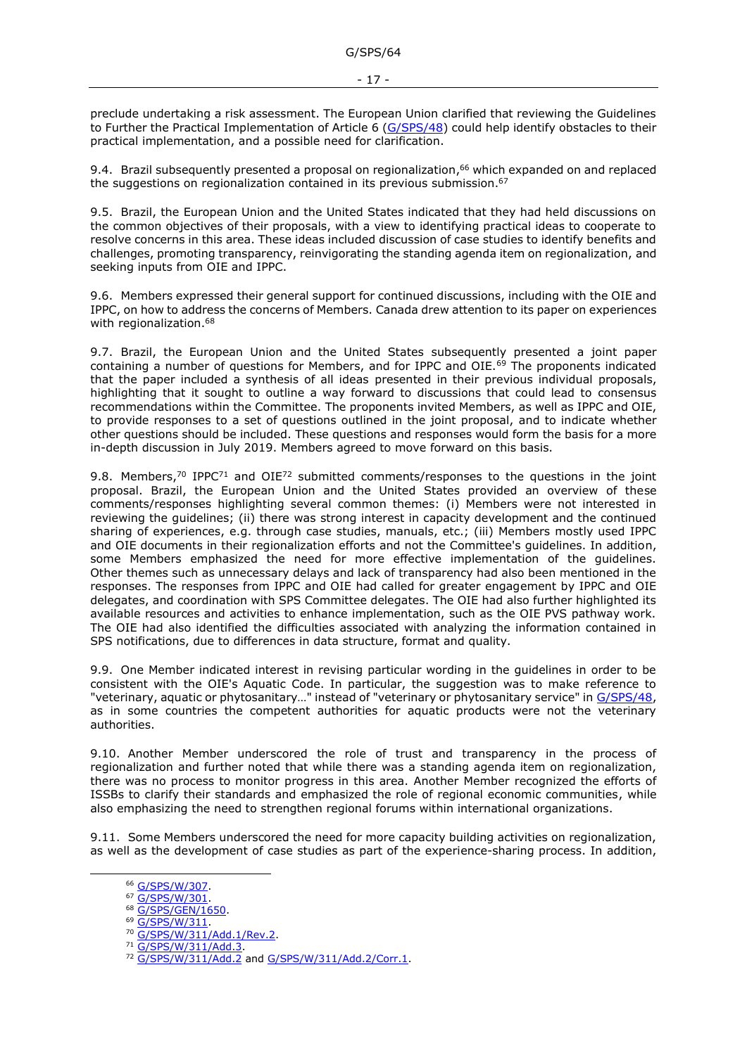preclude undertaking a risk assessment. The European Union clarified that reviewing the Guidelines to Further the Practical Implementation of Article 6 [\(G/SPS/48\)](https://docs.wto.org/dol2fe/Pages/FE_Search/FE_S_S006.aspx?DataSource=Cat&query=@Symbol=%22G/SPS/48%22%20OR%20@Symbol=%22G/SPS/48/*%22&Language=English&Context=ScriptedSearches&languageUIChanged=true) could help identify obstacles to their practical implementation, and a possible need for clarification.

9.4. Brazil subsequently presented a proposal on regionalization, $66$  which expanded on and replaced the suggestions on regionalization contained in its previous submission.<sup>67</sup>

9.5. Brazil, the European Union and the United States indicated that they had held discussions on the common objectives of their proposals, with a view to identifying practical ideas to cooperate to resolve concerns in this area. These ideas included discussion of case studies to identify benefits and challenges, promoting transparency, reinvigorating the standing agenda item on regionalization, and seeking inputs from OIE and IPPC.

9.6. Members expressed their general support for continued discussions, including with the OIE and IPPC, on how to address the concerns of Members. Canada drew attention to its paper on experiences with regionalization.<sup>68</sup>

9.7. Brazil, the European Union and the United States subsequently presented a joint paper containing a number of questions for Members, and for IPPC and OIE.<sup>69</sup> The proponents indicated that the paper included a synthesis of all ideas presented in their previous individual proposals, highlighting that it sought to outline a way forward to discussions that could lead to consensus recommendations within the Committee. The proponents invited Members, as well as IPPC and OIE, to provide responses to a set of questions outlined in the joint proposal, and to indicate whether other questions should be included. These questions and responses would form the basis for a more in-depth discussion in July 2019. Members agreed to move forward on this basis.

9.8. Members,<sup>70</sup> IPPC<sup>71</sup> and OIE<sup>72</sup> submitted comments/responses to the questions in the joint proposal. Brazil, the European Union and the United States provided an overview of these comments/responses highlighting several common themes: (i) Members were not interested in reviewing the guidelines; (ii) there was strong interest in capacity development and the continued sharing of experiences, e.g. through case studies, manuals, etc.; (iii) Members mostly used IPPC and OIE documents in their regionalization efforts and not the Committee's guidelines. In addition, some Members emphasized the need for more effective implementation of the guidelines. Other themes such as unnecessary delays and lack of transparency had also been mentioned in the responses. The responses from IPPC and OIE had called for greater engagement by IPPC and OIE delegates, and coordination with SPS Committee delegates. The OIE had also further highlighted its available resources and activities to enhance implementation, such as the OIE PVS pathway work. The OIE had also identified the difficulties associated with analyzing the information contained in SPS notifications, due to differences in data structure, format and quality.

9.9. One Member indicated interest in revising particular wording in the guidelines in order to be consistent with the OIE's Aquatic Code. In particular, the suggestion was to make reference to "veterinary, aquatic or phytosanitary…" instead of "veterinary or phytosanitary service" in [G/SPS/48,](https://docs.wto.org/dol2fe/Pages/FE_Search/FE_S_S006.aspx?DataSource=Cat&query=@Symbol=%22G/SPS/48%22%20OR%20@Symbol=%22G/SPS/48/*%22&Language=English&Context=ScriptedSearches&languageUIChanged=true) as in some countries the competent authorities for aquatic products were not the veterinary authorities.

9.10. Another Member underscored the role of trust and transparency in the process of regionalization and further noted that while there was a standing agenda item on regionalization, there was no process to monitor progress in this area. Another Member recognized the efforts of ISSBs to clarify their standards and emphasized the role of regional economic communities, while also emphasizing the need to strengthen regional forums within international organizations.

9.11. Some Members underscored the need for more capacity building activities on regionalization, as well as the development of case studies as part of the experience-sharing process. In addition,

<sup>&</sup>lt;sup>66</sup> [G/SPS/W/307.](https://docs.wto.org/dol2fe/Pages/FE_Search/FE_S_S006.aspx?DataSource=Cat&query=@Symbol=%22G/SPS/W/307%22%20OR%20@Symbol=%22G/SPS/W/307/*%22&Language=English&Context=ScriptedSearches&languageUIChanged=true)

<sup>67</sup> [G/SPS/W/301.](https://docs.wto.org/dol2fe/Pages/FE_Search/FE_S_S006.aspx?DataSource=Cat&query=@Symbol=%22G/SPS/W/301%22%20OR%20@Symbol=%22G/SPS/W/301/*%22&Language=English&Context=ScriptedSearches&languageUIChanged=true)

<sup>68</sup> [G/SPS/GEN/1650.](https://docs.wto.org/dol2fe/Pages/FE_Search/FE_S_S006.aspx?DataSource=Cat&query=@Symbol=%22G/SPS/GEN/1650%22%20OR%20@Symbol=%22G/SPS/GEN/1650/*%22&Language=English&Context=ScriptedSearches&languageUIChanged=true)

<sup>69</sup> G/SPS/W/311

<sup>70</sup> [G/SPS/W/311/Add.1/Rev.2.](https://docs.wto.org/dol2fe/Pages/FE_Search/FE_S_S006.aspx?DataSource=Cat&query=@Symbol=%22G/SPS/W/311/Add.1/Rev.2%22%20OR%20@Symbol=%22G/SPS/W/311/Add.1/Rev.2/*%22&Language=English&Context=ScriptedSearches&languageUIChanged=true)

<sup>71</sup> [G/SPS/W/311/Add.3.](https://docs.wto.org/dol2fe/Pages/FE_Search/FE_S_S006.aspx?DataSource=Cat&query=@Symbol=%22G/SPS/W/311/Add.3%22%20OR%20@Symbol=%22G/SPS/W/311/Add.3/*%22&Language=English&Context=ScriptedSearches&languageUIChanged=true)

<sup>72</sup> [G/SPS/W/311/Add.2](https://docs.wto.org/dol2fe/Pages/FE_Search/FE_S_S006.aspx?DataSource=Cat&query=@Symbol=%22G/SPS/W/311/Add.2%22%20OR%20@Symbol=%22G/SPS/W/311/Add.2/*%22&Language=English&Context=ScriptedSearches&languageUIChanged=true) and [G/SPS/W/311/Add.2/Corr.1.](https://docs.wto.org/dol2fe/Pages/FE_Search/FE_S_S006.aspx?DataSource=Cat&query=@Symbol=%22G/SPS/W/311/Add.2/Corr.1%22%20OR%20@Symbol=%22G/SPS/W/311/Add.2/Corr.1/*%22&Language=English&Context=ScriptedSearches&languageUIChanged=true)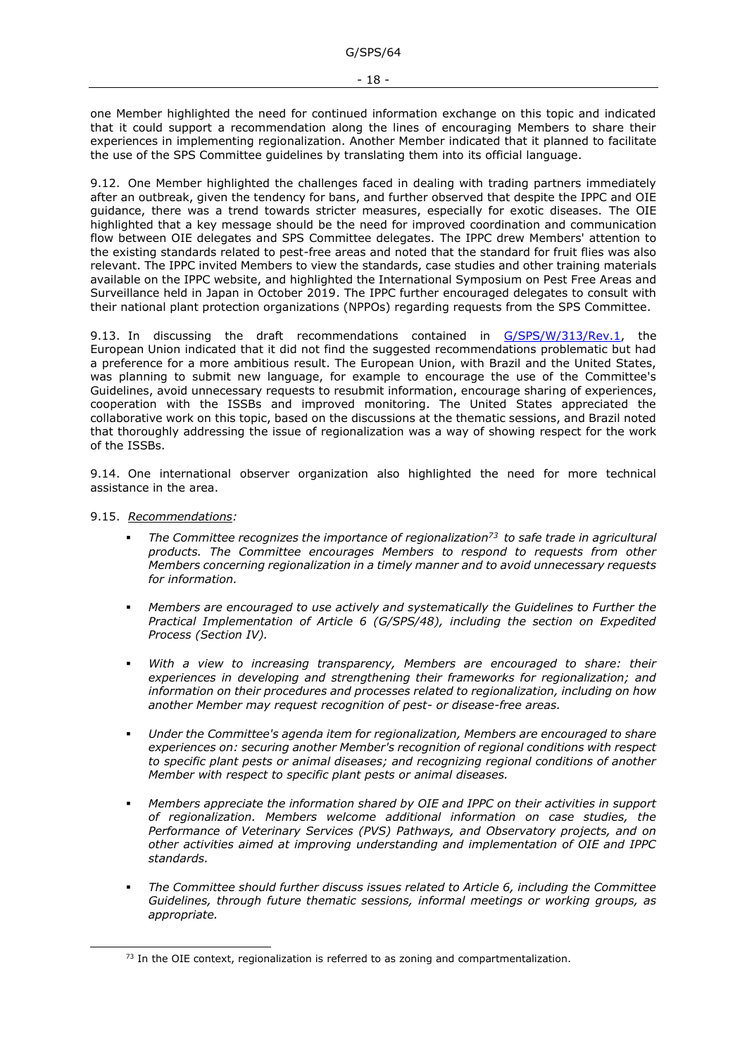one Member highlighted the need for continued information exchange on this topic and indicated that it could support a recommendation along the lines of encouraging Members to share their experiences in implementing regionalization. Another Member indicated that it planned to facilitate the use of the SPS Committee guidelines by translating them into its official language.

9.12. One Member highlighted the challenges faced in dealing with trading partners immediately after an outbreak, given the tendency for bans, and further observed that despite the IPPC and OIE guidance, there was a trend towards stricter measures, especially for exotic diseases. The OIE highlighted that a key message should be the need for improved coordination and communication flow between OIE delegates and SPS Committee delegates. The IPPC drew Members' attention to the existing standards related to pest-free areas and noted that the standard for fruit flies was also relevant. The IPPC invited Members to view the standards, case studies and other training materials available on the IPPC website, and highlighted the International Symposium on Pest Free Areas and Surveillance held in Japan in October 2019. The IPPC further encouraged delegates to consult with their national plant protection organizations (NPPOs) regarding requests from the SPS Committee.

9.13. In discussing the draft recommendations contained in [G/SPS/W/313/Rev.1,](https://docs.wto.org/dol2fe/Pages/FE_Search/FE_S_S006.aspx?DataSource=Cat&query=@Symbol=%22G/SPS/W/313/Rev.1%22%20OR%20@Symbol=%22G/SPS/W/313/Rev.1/*%22&Language=English&Context=ScriptedSearches&languageUIChanged=true) the European Union indicated that it did not find the suggested recommendations problematic but had a preference for a more ambitious result. The European Union, with Brazil and the United States, was planning to submit new language, for example to encourage the use of the Committee's Guidelines, avoid unnecessary requests to resubmit information, encourage sharing of experiences, cooperation with the ISSBs and improved monitoring. The United States appreciated the collaborative work on this topic, based on the discussions at the thematic sessions, and Brazil noted that thoroughly addressing the issue of regionalization was a way of showing respect for the work of the ISSBs.

9.14. One international observer organization also highlighted the need for more technical assistance in the area.

#### 9.15. *Recommendations:*

- *The Committee recognizes the importance of regionalization<sup>73</sup> to safe trade in agricultural products. The Committee encourages Members to respond to requests from other Members concerning regionalization in a timely manner and to avoid unnecessary requests for information.*
- *Members are encouraged to use actively and systematically the Guidelines to Further the Practical Implementation of Article 6 (G/SPS/48), including the section on Expedited Process (Section IV).*
- With a view to increasing transparency, Members are encouraged to share: their *experiences in developing and strengthening their frameworks for regionalization; and information on their procedures and processes related to regionalization, including on how another Member may request recognition of pest- or disease-free areas.*
- Under the Committee's agenda item for regionalization, Members are encouraged to share *experiences on: securing another Member's recognition of regional conditions with respect to specific plant pests or animal diseases; and recognizing regional conditions of another Member with respect to specific plant pests or animal diseases.*
- *Members appreciate the information shared by OIE and IPPC on their activities in support of regionalization. Members welcome additional information on case studies, the Performance of Veterinary Services (PVS) Pathways, and Observatory projects, and on other activities aimed at improving understanding and implementation of OIE and IPPC standards.*
- The Committee should further discuss issues related to Article 6, including the Committee *Guidelines, through future thematic sessions, informal meetings or working groups, as appropriate.*

 $73$  In the OIE context, regionalization is referred to as zoning and compartmentalization.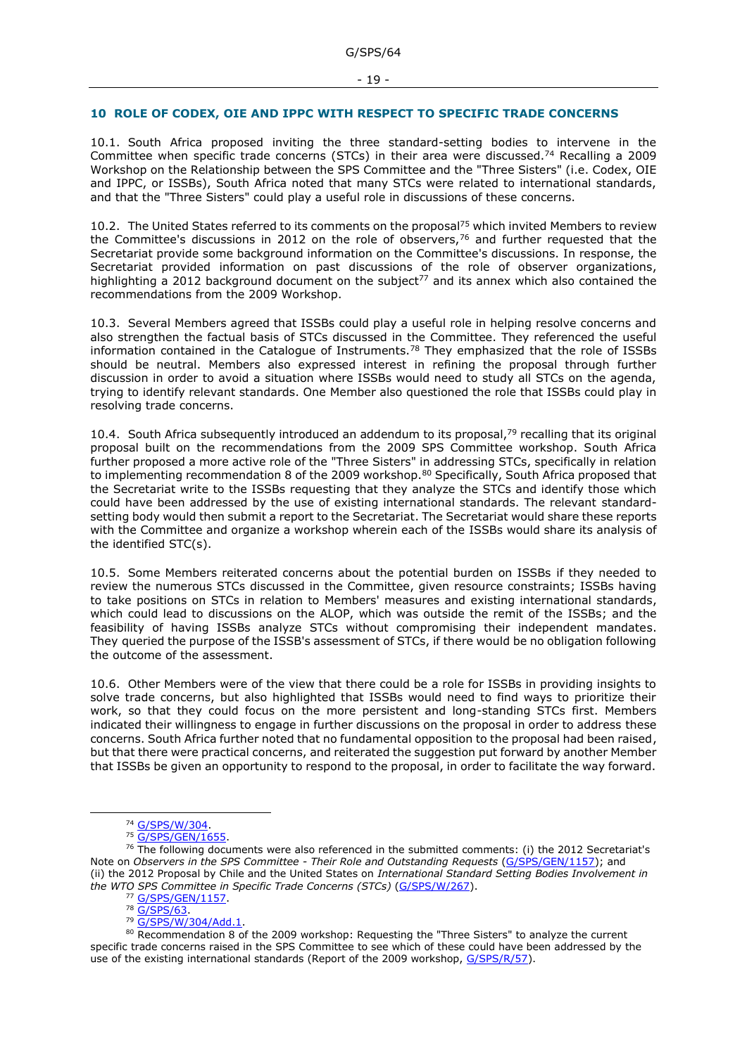#### <span id="page-18-0"></span>**10 ROLE OF CODEX, OIE AND IPPC WITH RESPECT TO SPECIFIC TRADE CONCERNS**

10.1. South Africa proposed inviting the three standard-setting bodies to intervene in the Committee when specific trade concerns (STCs) in their area were discussed.<sup>74</sup> Recalling a 2009 Workshop on the Relationship between the SPS Committee and the "Three Sisters" (i.e. Codex, OIE and IPPC, or ISSBs), South Africa noted that many STCs were related to international standards, and that the "Three Sisters" could play a useful role in discussions of these concerns.

10.2. The United States referred to its comments on the proposal<sup>75</sup> which invited Members to review the Committee's discussions in 2012 on the role of observers,<sup>76</sup> and further requested that the Secretariat provide some background information on the Committee's discussions. In response, the Secretariat provided information on past discussions of the role of observer organizations, highlighting a 2012 background document on the subject<sup>77</sup> and its annex which also contained the recommendations from the 2009 Workshop.

10.3. Several Members agreed that ISSBs could play a useful role in helping resolve concerns and also strengthen the factual basis of STCs discussed in the Committee. They referenced the useful information contained in the Catalogue of Instruments.<sup>78</sup> They emphasized that the role of ISSBs should be neutral. Members also expressed interest in refining the proposal through further discussion in order to avoid a situation where ISSBs would need to study all STCs on the agenda, trying to identify relevant standards. One Member also questioned the role that ISSBs could play in resolving trade concerns.

10.4. South Africa subsequently introduced an addendum to its proposal,<sup>79</sup> recalling that its original proposal built on the recommendations from the 2009 SPS Committee workshop. South Africa further proposed a more active role of the "Three Sisters" in addressing STCs, specifically in relation to implementing recommendation 8 of the 2009 workshop.<sup>80</sup> Specifically, South Africa proposed that the Secretariat write to the ISSBs requesting that they analyze the STCs and identify those which could have been addressed by the use of existing international standards. The relevant standardsetting body would then submit a report to the Secretariat. The Secretariat would share these reports with the Committee and organize a workshop wherein each of the ISSBs would share its analysis of the identified STC(s).

10.5. Some Members reiterated concerns about the potential burden on ISSBs if they needed to review the numerous STCs discussed in the Committee, given resource constraints; ISSBs having to take positions on STCs in relation to Members' measures and existing international standards, which could lead to discussions on the ALOP, which was outside the remit of the ISSBs; and the feasibility of having ISSBs analyze STCs without compromising their independent mandates. They queried the purpose of the ISSB's assessment of STCs, if there would be no obligation following the outcome of the assessment.

10.6. Other Members were of the view that there could be a role for ISSBs in providing insights to solve trade concerns, but also highlighted that ISSBs would need to find ways to prioritize their work, so that they could focus on the more persistent and long-standing STCs first. Members indicated their willingness to engage in further discussions on the proposal in order to address these concerns. South Africa further noted that no fundamental opposition to the proposal had been raised, but that there were practical concerns, and reiterated the suggestion put forward by another Member that ISSBs be given an opportunity to respond to the proposal, in order to facilitate the way forward.

<sup>74</sup> [G/SPS/W/304.](https://docs.wto.org/dol2fe/Pages/FE_Search/FE_S_S006.aspx?DataSource=Cat&query=@Symbol=%22G/SPS/W/304%22%20OR%20@Symbol=%22G/SPS/W/304/*%22&Language=English&Context=ScriptedSearches&languageUIChanged=true)

<sup>75</sup> [G/SPS/GEN/1655.](https://docs.wto.org/dol2fe/Pages/FE_Search/FE_S_S006.aspx?DataSource=Cat&query=@Symbol=%22G/SPS/GEN/1655%22%20OR%20@Symbol=%22G/SPS/GEN/1655/*%22&Language=English&Context=ScriptedSearches&languageUIChanged=true)

 $76$  The following documents were also referenced in the submitted comments: (i) the 2012 Secretariat's Note on *Observers in the SPS Committee - Their Role and Outstanding Requests* [\(G/SPS/GEN/1157\)](https://docs.wto.org/dol2fe/Pages/FE_Search/FE_S_S006.aspx?DataSource=Cat&query=@Symbol=G/SPS/GEN/1157*&Language=English&Context=ScriptedSearches&languageUIChanged=true); and (ii) the 2012 Proposal by Chile and the United States on *International Standard Setting Bodies Involvement in the WTO SPS Committee in Specific Trade Concerns (STCs)* [\(G/SPS/W/267\)](https://docs.wto.org/dol2fe/Pages/FE_Search/FE_S_S006.aspx?DataSource=Cat&query=@Symbol=G/SPS/W/267*&Language=English&Context=ScriptedSearches&languageUIChanged=true).

<sup>77</sup> [G/SPS/GEN/1157.](https://docs.wto.org/dol2fe/Pages/FE_Search/FE_S_S006.aspx?DataSource=Cat&query=@Symbol=%22G/SPS/GEN/1157%22%20OR%20@Symbol=%22G/SPS/GEN/1157/*%22&Language=English&Context=ScriptedSearches&languageUIChanged=true)

<sup>78</sup> [G/SPS/63.](https://docs.wto.org/dol2fe/Pages/FE_Search/FE_S_S006.aspx?DataSource=Cat&query=@Symbol=%22G/SPS/63%22%20OR%20@Symbol=%22G/SPS/63/*%22&Language=English&Context=ScriptedSearches&languageUIChanged=true)

<sup>79</sup> [G/SPS/W/304/Add.1.](https://docs.wto.org/dol2fe/Pages/FE_Search/FE_S_S006.aspx?DataSource=Cat&query=@Symbol=%22G/SPS/W/304/Add.1%22%20OR%20@Symbol=%22G/SPS/W/304/Add.1/*%22&Language=English&Context=ScriptedSearches&languageUIChanged=true)

<sup>80</sup> Recommendation 8 of the 2009 workshop: Requesting the "Three Sisters" to analyze the current specific trade concerns raised in the SPS Committee to see which of these could have been addressed by the use of the existing international standards (Report of the 2009 workshop, [G/SPS/R/57\)](https://docs.wto.org/dol2fe/Pages/FE_Search/FE_S_S006.aspx?MetaCollection=WTO&SymbolList=%22G%2fSPS%2fR%2f57%22+OR+%22G%2fSPS%2fR%2f57%2f*%22&Serial=&IssuingDateFrom=&IssuingDateTo=&CATTITLE=&ConcernedCountryList=&OtherCountryList=&SubjectList=&TypeList=&FullTextHash=371857150&ProductList=&BodyList=&OrganizationList=&ArticleList=&Contents=&CollectionList=&RestrictionTypeName=&PostingDateFrom=&PostingDateTo=&DerestrictionDateFrom=&DerestrictionDateTo=&ReferenceList=&Language=ENGLISH&SearchPage=FE_S_S001&ActiveTabIndex=0&HSClassificationList=&ServicesClassificationList=&EnvironmentClassificationList=&ICSClassificationList=&ICSClassificationDescList:EnvironmentClassificationDescList:ServicesClassificationDescList:HSClassificationDescList=&languageUIChanged=true).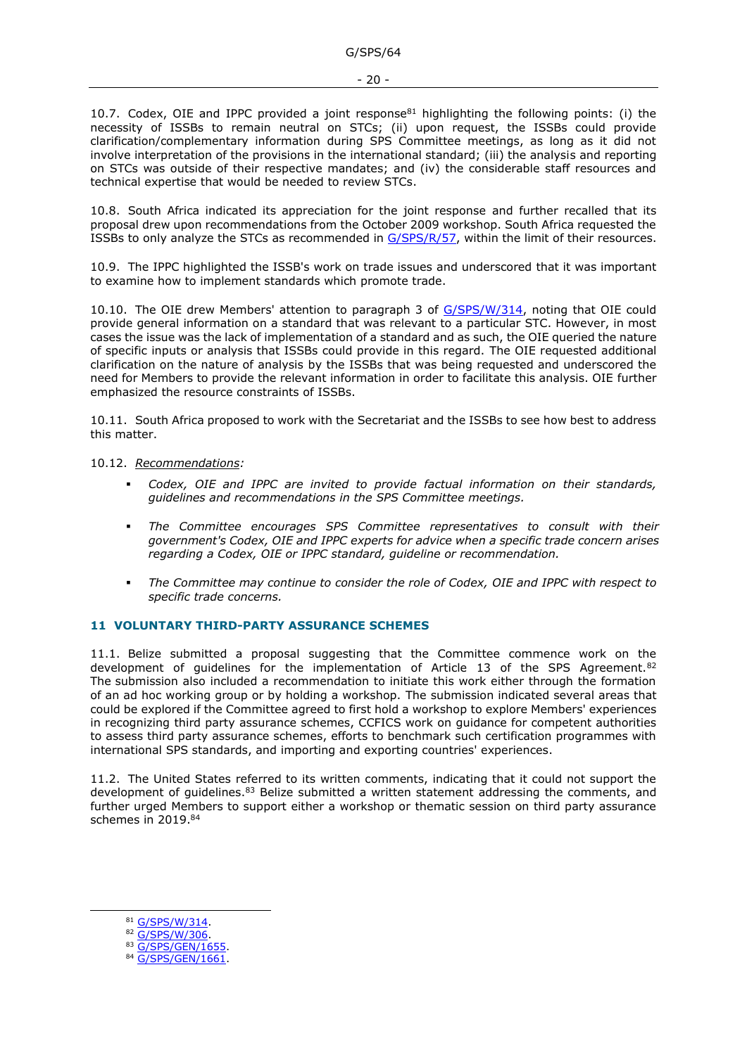10.7. Codex, OIE and IPPC provided a joint response $81$  highlighting the following points: (i) the necessity of ISSBs to remain neutral on STCs; (ii) upon request, the ISSBs could provide clarification/complementary information during SPS Committee meetings, as long as it did not involve interpretation of the provisions in the international standard; (iii) the analysis and reporting on STCs was outside of their respective mandates; and (iv) the considerable staff resources and technical expertise that would be needed to review STCs.

10.8. South Africa indicated its appreciation for the joint response and further recalled that its proposal drew upon recommendations from the October 2009 workshop. South Africa requested the ISSBs to only analyze the STCs as recommended in [G/SPS/R/57,](https://docs.wto.org/dol2fe/Pages/FE_Search/FE_S_S006.aspx?DataSource=Cat&query=@Symbol=%22G/SPS/R/57%22%20OR%20@Symbol=%22G/SPS/R/57/*%22&Language=English&Context=ScriptedSearches&languageUIChanged=true) within the limit of their resources.

10.9. The IPPC highlighted the ISSB's work on trade issues and underscored that it was important to examine how to implement standards which promote trade.

10.10. The OIE drew Members' attention to paragraph 3 of [G/SPS/W/314,](https://docs.wto.org/dol2fe/Pages/FE_Search/FE_S_S006.aspx?DataSource=Cat&query=@Symbol=%22G/SPS/W/314%22%20OR%20@Symbol=%22G/SPS/W/314/*%22&Language=English&Context=ScriptedSearches&languageUIChanged=true) noting that OIE could provide general information on a standard that was relevant to a particular STC. However, in most cases the issue was the lack of implementation of a standard and as such, the OIE queried the nature of specific inputs or analysis that ISSBs could provide in this regard. The OIE requested additional clarification on the nature of analysis by the ISSBs that was being requested and underscored the need for Members to provide the relevant information in order to facilitate this analysis. OIE further emphasized the resource constraints of ISSBs.

10.11. South Africa proposed to work with the Secretariat and the ISSBs to see how best to address this matter.

### 10.12. *Recommendations:*

- *Codex, OIE and IPPC are invited to provide factual information on their standards, guidelines and recommendations in the SPS Committee meetings.*
- The Committee encourages SPS Committee representatives to consult with their *government's Codex, OIE and IPPC experts for advice when a specific trade concern arises regarding a Codex, OIE or IPPC standard, guideline or recommendation.*
- *The Committee may continue to consider the role of Codex, OIE and IPPC with respect to specific trade concerns.*

### <span id="page-19-0"></span>**11 VOLUNTARY THIRD-PARTY ASSURANCE SCHEMES**

11.1. Belize submitted a proposal suggesting that the Committee commence work on the development of guidelines for the implementation of Article 13 of the SPS Agreement.<sup>82</sup> The submission also included a recommendation to initiate this work either through the formation of an ad hoc working group or by holding a workshop. The submission indicated several areas that could be explored if the Committee agreed to first hold a workshop to explore Members' experiences in recognizing third party assurance schemes, CCFICS work on guidance for competent authorities to assess third party assurance schemes, efforts to benchmark such certification programmes with international SPS standards, and importing and exporting countries' experiences.

11.2. The United States referred to its written comments, indicating that it could not support the development of quidelines.<sup>83</sup> Belize submitted a written statement addressing the comments, and further urged Members to support either a workshop or thematic session on third party assurance schemes in 2019. 84

81 [G/SPS/W/314.](https://docs.wto.org/dol2fe/Pages/FE_Search/FE_S_S006.aspx?DataSource=Cat&query=@Symbol=%22G/SPS/W/314%22%20OR%20@Symbol=%22G/SPS/W/314/*%22&Language=English&Context=ScriptedSearches&languageUIChanged=true)

83 [G/SPS/GEN/1655.](https://docs.wto.org/dol2fe/Pages/FE_Search/FE_S_S006.aspx?DataSource=Cat&query=@Symbol=%22G/SPS/GEN/1655%22%20OR%20@Symbol=%22G/SPS/GEN/1655/*%22&Language=English&Context=ScriptedSearches&languageUIChanged=true)

<sup>82</sup> [G/SPS/W/306.](https://docs.wto.org/dol2fe/Pages/FE_Search/FE_S_S006.aspx?DataSource=Cat&query=@Symbol=%22G/SPS/W/306%22%20OR%20@Symbol=%22G/SPS/W/306/*%22&Language=English&Context=ScriptedSearches&languageUIChanged=true)

<sup>84</sup> G/SPS/GEN/1661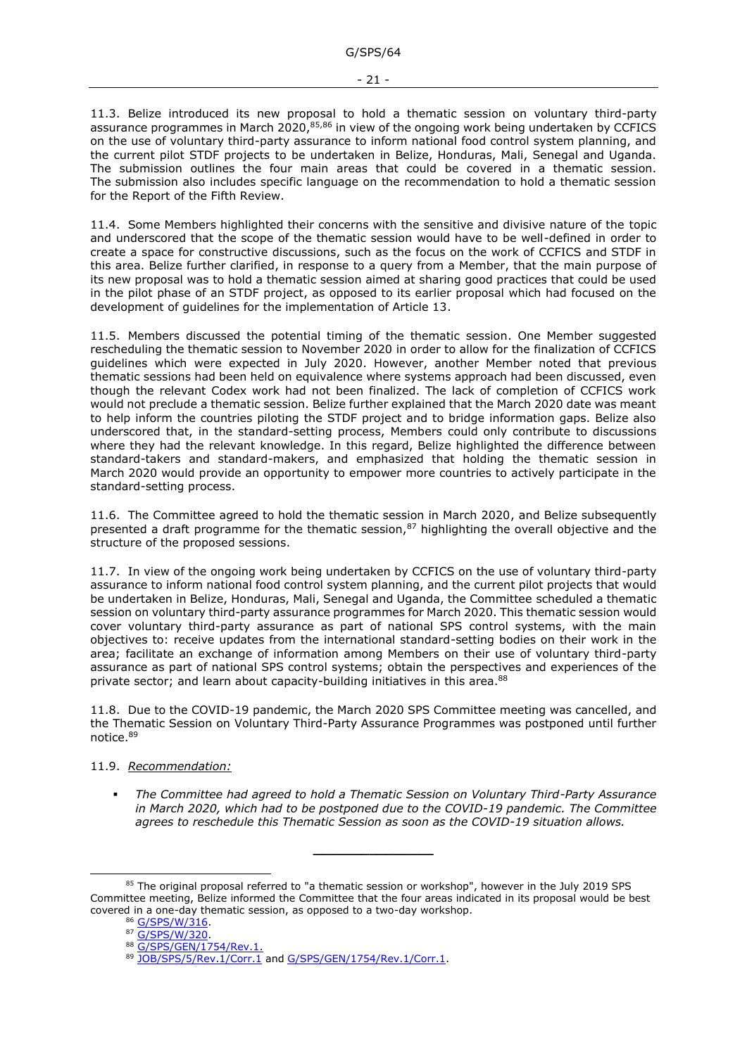11.3. Belize introduced its new proposal to hold a thematic session on voluntary third-party assurance programmes in March 2020,<sup>85,86</sup> in view of the ongoing work being undertaken by CCFICS on the use of voluntary third-party assurance to inform national food control system planning, and the current pilot STDF projects to be undertaken in Belize, Honduras, Mali, Senegal and Uganda. The submission outlines the four main areas that could be covered in a thematic session. The submission also includes specific language on the recommendation to hold a thematic session for the Report of the Fifth Review.

11.4. Some Members highlighted their concerns with the sensitive and divisive nature of the topic and underscored that the scope of the thematic session would have to be well-defined in order to create a space for constructive discussions, such as the focus on the work of CCFICS and STDF in this area. Belize further clarified, in response to a query from a Member, that the main purpose of its new proposal was to hold a thematic session aimed at sharing good practices that could be used in the pilot phase of an STDF project, as opposed to its earlier proposal which had focused on the development of guidelines for the implementation of Article 13.

11.5. Members discussed the potential timing of the thematic session. One Member suggested rescheduling the thematic session to November 2020 in order to allow for the finalization of CCFICS guidelines which were expected in July 2020. However, another Member noted that previous thematic sessions had been held on equivalence where systems approach had been discussed, even though the relevant Codex work had not been finalized. The lack of completion of CCFICS work would not preclude a thematic session. Belize further explained that the March 2020 date was meant to help inform the countries piloting the STDF project and to bridge information gaps. Belize also underscored that, in the standard-setting process, Members could only contribute to discussions where they had the relevant knowledge. In this regard, Belize highlighted the difference between standard-takers and standard-makers, and emphasized that holding the thematic session in March 2020 would provide an opportunity to empower more countries to actively participate in the standard-setting process.

11.6. The Committee agreed to hold the thematic session in March 2020, and Belize subsequently presented a draft programme for the thematic session, $87$  highlighting the overall objective and the structure of the proposed sessions.

11.7. In view of the ongoing work being undertaken by CCFICS on the use of voluntary third-party assurance to inform national food control system planning, and the current pilot projects that would be undertaken in Belize, Honduras, Mali, Senegal and Uganda, the Committee scheduled a thematic session on voluntary third-party assurance programmes for March 2020. This thematic session would cover voluntary third-party assurance as part of national SPS control systems, with the main objectives to: receive updates from the international standard-setting bodies on their work in the area; facilitate an exchange of information among Members on their use of voluntary third-party assurance as part of national SPS control systems; obtain the perspectives and experiences of the private sector; and learn about capacity-building initiatives in this area.<sup>88</sup>

11.8. Due to the COVID-19 pandemic, the March 2020 SPS Committee meeting was cancelled, and the Thematic Session on Voluntary Third-Party Assurance Programmes was postponed until further notice.<sup>89</sup>

### 11.9. *Recommendation:*

▪ *The Committee had agreed to hold a Thematic Session on Voluntary Third-Party Assurance in March 2020, which had to be postponed due to the COVID-19 pandemic. The Committee agrees to reschedule this Thematic Session as soon as the COVID-19 situation allows.*

**\_\_\_\_\_\_\_\_\_\_\_\_\_\_\_**

<sup>&</sup>lt;sup>85</sup> The original proposal referred to "a thematic session or workshop", however in the July 2019 SPS Committee meeting, Belize informed the Committee that the four areas indicated in its proposal would be best covered in a one-day thematic session, as opposed to a two-day workshop.

<sup>86</sup> [G/SPS/W/316.](https://docs.wto.org/dol2fe/Pages/FE_Search/FE_S_S006.aspx?DataSource=Cat&query=@Symbol=%22G/SPS/W/316%22%20OR%20@Symbol=%22G/SPS/W/316/*%22&Language=English&Context=ScriptedSearches&languageUIChanged=true)

<sup>&</sup>lt;sup>87</sup> [G/SPS/W/320](https://docs.wto.org/dol2fe/Pages/FE_Search/FE_S_S006.aspx?DataSource=Cat&query=@Symbol=%22G/SPS/W/320%22%20OR%20@Symbol=%22G/SPS/W/320/*%22&Language=English&Context=ScriptedSearches&languageUIChanged=true).

<sup>88</sup> [G/SPS/GEN/1754/Rev.1.](https://docs.wto.org/dol2fe/Pages/FE_Search/FE_S_S006.aspx?DataSource=Cat&query=@Symbol=%22G/SPS/GEN/1754/Rev.1%22%20OR%20@Symbol=%22G/SPS/GEN/1754/Rev.1/*%22&Language=English&Context=ScriptedSearches&languageUIChanged=true)

<sup>89</sup> [JOB/SPS/5/Rev.1/Corr.1](https://docs.wto.org/dol2fe/Pages/FE_Search/FE_S_S006.aspx?DataSource=Cat&query=@Symbol=%22JOB/SPS/5/Rev.1/Corr.1%22%20OR%20@Symbol=%22JOB/SPS/5/Rev.1/Corr.1/*%22&Language=English&Context=ScriptedSearches&languageUIChanged=true) and [G/SPS/GEN/1754/Rev.1/Corr.1.](https://docs.wto.org/dol2fe/Pages/FE_Search/FE_S_S006.aspx?DataSource=Cat&query=@Symbol=%22G/SPS/GEN/1754/Rev.1/Corr.1%22%20OR%20@Symbol=%22G/SPS/GEN/1754/Rev.1/Corr.1/*%22&Language=English&Context=ScriptedSearches&languageUIChanged=true)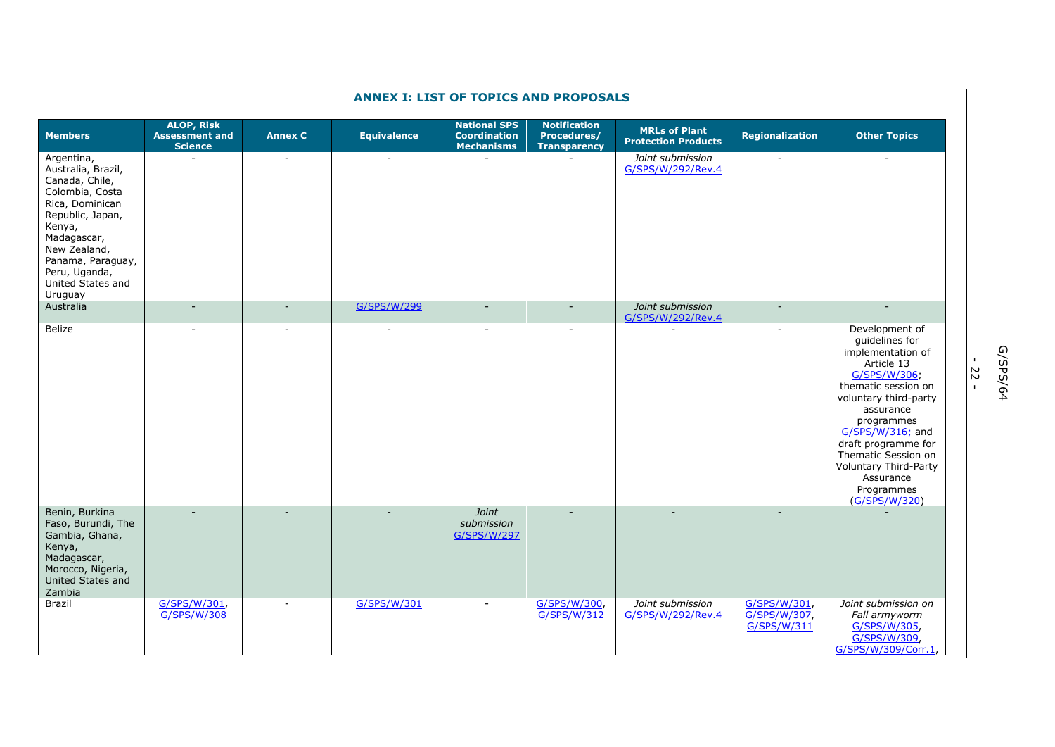<span id="page-21-0"></span>

|                                                                                                                                                                                                                             | <b>ALOP, Risk</b>                       |                          |                          | <b>National SPS</b>                      | <b>Notification</b>                |                                                    |                                             |                                                                                                                                                                                                                                                                                                              |
|-----------------------------------------------------------------------------------------------------------------------------------------------------------------------------------------------------------------------------|-----------------------------------------|--------------------------|--------------------------|------------------------------------------|------------------------------------|----------------------------------------------------|---------------------------------------------|--------------------------------------------------------------------------------------------------------------------------------------------------------------------------------------------------------------------------------------------------------------------------------------------------------------|
| <b>Members</b>                                                                                                                                                                                                              | <b>Assessment and</b><br><b>Science</b> | <b>Annex C</b>           | <b>Equivalence</b>       | <b>Coordination</b><br><b>Mechanisms</b> | Procedures/<br><b>Transparency</b> | <b>MRLs of Plant</b><br><b>Protection Products</b> | Regionalization                             | <b>Other Topics</b>                                                                                                                                                                                                                                                                                          |
| Argentina,<br>Australia, Brazil,<br>Canada, Chile,<br>Colombia, Costa<br>Rica, Dominican<br>Republic, Japan,<br>Kenya,<br>Madagascar,<br>New Zealand,<br>Panama, Paraguay,<br>Peru, Uganda,<br>United States and<br>Uruguay | $\blacksquare$                          | $\overline{\phantom{a}}$ | $\overline{\phantom{a}}$ |                                          |                                    | Joint submission<br>G/SPS/W/292/Rev.4              | $\blacksquare$                              |                                                                                                                                                                                                                                                                                                              |
| Australia                                                                                                                                                                                                                   |                                         |                          | G/SPS/W/299              |                                          |                                    | Joint submission<br>G/SPS/W/292/Rev.4              |                                             |                                                                                                                                                                                                                                                                                                              |
| Belize                                                                                                                                                                                                                      |                                         |                          |                          |                                          |                                    |                                                    |                                             | Development of<br>guidelines for<br>implementation of<br>Article 13<br>G/SPS/W/306;<br>thematic session on<br>voluntary third-party<br>assurance<br>programmes<br>G/SPS/W/316; and<br>draft programme for<br>Thematic Session on<br><b>Voluntary Third-Party</b><br>Assurance<br>Programmes<br>(G/SPS/W/320) |
| Benin, Burkina<br>Faso, Burundi, The<br>Gambia, Ghana,<br>Kenya,<br>Madagascar,<br>Morocco, Nigeria,<br>United States and<br>Zambia                                                                                         |                                         |                          |                          | Joint<br>submission<br>G/SPS/W/297       |                                    |                                                    |                                             |                                                                                                                                                                                                                                                                                                              |
| Brazil                                                                                                                                                                                                                      | G/SPS/W/301,<br>G/SPS/W/308             |                          | G/SPS/W/301              |                                          | G/SPS/W/300,<br>G/SPS/W/312        | Joint submission<br>G/SPS/W/292/Rev.4              | G/SPS/W/301,<br>G/SPS/W/307,<br>G/SPS/W/311 | Joint submission on<br>Fall armyworm<br>G/SPS/W/305,<br>G/SPS/W/309,<br>G/SPS/W/309/Corr.1,                                                                                                                                                                                                                  |

# **ANNEX I: LIST OF TOPICS AND PROPOSALS**

- 22 -